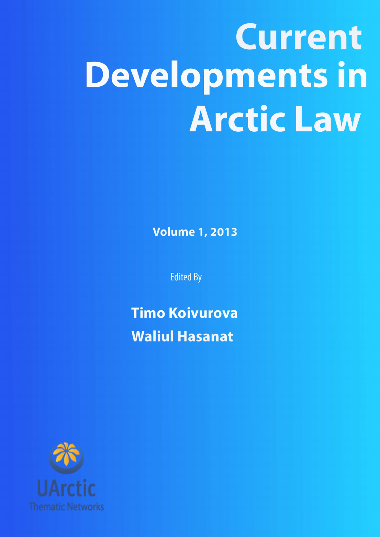# **Current Developments in Arctic Law**

**Volume 1, 2013** 

**Edited By** 

**Timo Koivurova Waliul Hasanat** 

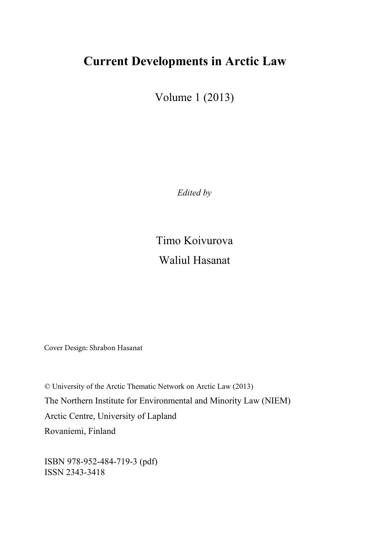## **Current Developments in Arctic Law**

Volume 1 (2013)

*Edited by* 

Timo Koivurova Waliul Hasanat

Cover Design: Shrabon Hasanat

© University of the Arctic Thematic Network on Arctic Law (2013) The Northern Institute for Environmental and Minority Law (NIEM) Arctic Centre, University of Lapland Rovaniemi, Finland

ISBN 978-952-484-719-3 (pdf) ISSN 2343-3418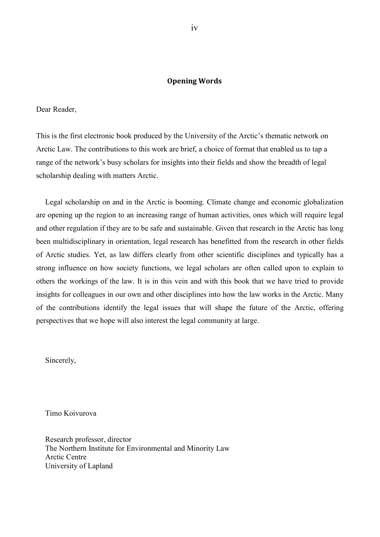#### **Opening Words**

<span id="page-2-0"></span>Dear Reader,

This is the first electronic book produced by the University of the Arctic's thematic network on Arctic Law. The contributions to this work are brief, a choice of format that enabled us to tap a range of the network's busy scholars for insights into their fields and show the breadth of legal scholarship dealing with matters Arctic.

Legal scholarship on and in the Arctic is booming. Climate change and economic globalization are opening up the region to an increasing range of human activities, ones which will require legal and other regulation if they are to be safe and sustainable. Given that research in the Arctic has long been multidisciplinary in orientation, legal research has benefitted from the research in other fields of Arctic studies. Yet, as law differs clearly from other scientific disciplines and typically has a strong influence on how society functions, we legal scholars are often called upon to explain to others the workings of the law. It is in this vein and with this book that we have tried to provide insights for colleagues in our own and other disciplines into how the law works in the Arctic. Many of the contributions identify the legal issues that will shape the future of the Arctic, offering perspectives that we hope will also interest the legal community at large.

Sincerely,

Timo Koivurova

Research professor, director The Northern Institute for Environmental and Minority Law Arctic Centre University of Lapland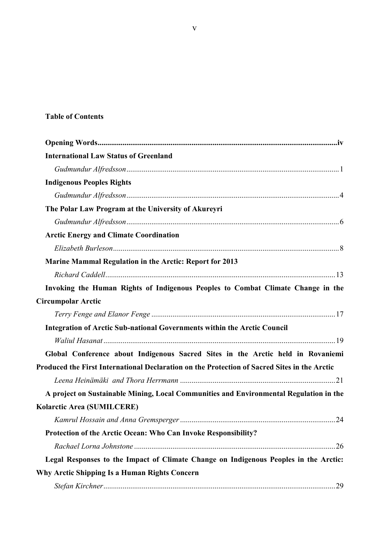## **Table of Contents**

| <b>International Law Status of Greenland</b>                                                 |  |
|----------------------------------------------------------------------------------------------|--|
|                                                                                              |  |
| <b>Indigenous Peoples Rights</b>                                                             |  |
|                                                                                              |  |
| The Polar Law Program at the University of Akureyri                                          |  |
|                                                                                              |  |
| <b>Arctic Energy and Climate Coordination</b>                                                |  |
|                                                                                              |  |
| <b>Marine Mammal Regulation in the Arctic: Report for 2013</b>                               |  |
|                                                                                              |  |
| Invoking the Human Rights of Indigenous Peoples to Combat Climate Change in the              |  |
| <b>Circumpolar Arctic</b>                                                                    |  |
|                                                                                              |  |
| Integration of Arctic Sub-national Governments within the Arctic Council                     |  |
|                                                                                              |  |
| Global Conference about Indigenous Sacred Sites in the Arctic held in Rovaniemi              |  |
| Produced the First International Declaration on the Protection of Sacred Sites in the Arctic |  |
|                                                                                              |  |
| A project on Sustainable Mining, Local Communities and Environmental Regulation in the       |  |
| Kolarctic Area (SUMILCERE)                                                                   |  |
|                                                                                              |  |
| Protection of the Arctic Ocean: Who Can Invoke Responsibility?                               |  |
|                                                                                              |  |
| Legal Responses to the Impact of Climate Change on Indigenous Peoples in the Arctic:         |  |
| Why Arctic Shipping Is a Human Rights Concern                                                |  |
|                                                                                              |  |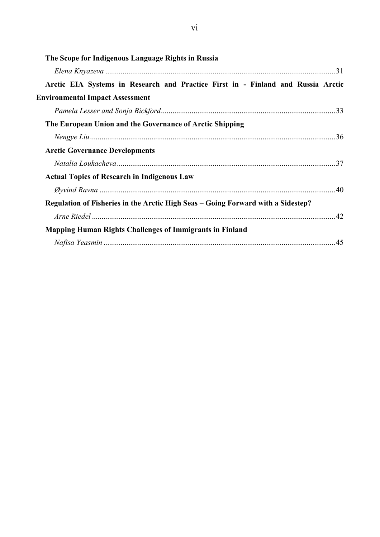| Arctic EIA Systems in Research and Practice First in - Finland and Russia Arctic |
|----------------------------------------------------------------------------------|
|                                                                                  |
|                                                                                  |
|                                                                                  |
|                                                                                  |
|                                                                                  |
|                                                                                  |
|                                                                                  |
|                                                                                  |
|                                                                                  |
|                                                                                  |
|                                                                                  |
|                                                                                  |
|                                                                                  |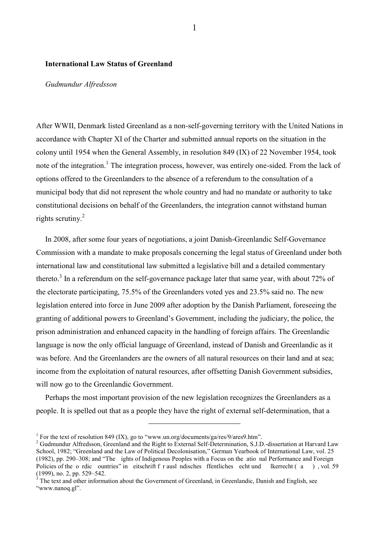#### <span id="page-5-0"></span>**International Law Status of Greenland**

#### <span id="page-5-1"></span>*Gudmundur Alfredsson*

After WWII, Denmark listed Greenland as a non-self-governing territory with the United Nations in accordance with Chapter XI of the Charter and submitted annual reports on the situation in the colony until 1954 when the General Assembly, in resolution 849 (IX) of 22 November 1954, took note of the integration.<sup>1</sup> The integration process, however, was entirely one-sided. From the lack of options offered to the Greenlanders to the absence of a referendum to the consultation of a municipal body that did not represent the whole country and had no mandate or authority to take constitutional decisions on behalf of the Greenlanders, the integration cannot withstand human rights scrutiny. $2$ 

In 2008, after some four years of negotiations, a joint Danish-Greenlandic Self-Governance Commission with a mandate to make proposals concerning the legal status of Greenland under both international law and constitutional law submitted a legislative bill and a detailed commentary thereto.<sup>3</sup> In a referendum on the self-governance package later that same year, with about 72% of the electorate participating, 75.5% of the Greenlanders voted yes and 23.5% said no. The new legislation entered into force in June 2009 after adoption by the Danish Parliament, foreseeing the granting of additional powers to Greenland's Government, including the judiciary, the police, the prison administration and enhanced capacity in the handling of foreign affairs. The Greenlandic language is now the only official language of Greenland, instead of Danish and Greenlandic as it was before. And the Greenlanders are the owners of all natural resources on their land and at sea; income from the exploitation of natural resources, after offsetting Danish Government subsidies, will now go to the Greenlandic Government.

Perhaps the most important provision of the new legislation recognizes the Greenlanders as a people. It is spelled out that as a people they have the right of external self-determination, that a

<sup>&</sup>lt;sup>1</sup> For the text of resolution 849 (IX), go to ["www.un.org/documents/ga/res/9/ares9.htm"](http://www.un.org/documents/ga/res/9/ares9.htm).

 $2$  Gudmundur Alfredsson, Greenland and the Right to External Self-Determination, S.J.D.-dissertation at Harvard Law School, 1982; "Greenland and the Law of Political Decolonisation," German Yearbook of International Law, vol. 25 (1982), pp. 290–308; and "The ights of Indigenous Peoples with a Focus on the atio nal Performance and Foreign Policies of the o rdic ountries" in eitschrift f r ausl ndisches ffentliches echt und lkerrecht (a (1999), no. 2, pp. 529–542.

<sup>3</sup> The text and other information about the Government of Greenland, in Greenlandic, Danish and English, see ["www.nanoq.gl"](http://www.naoq.gl/).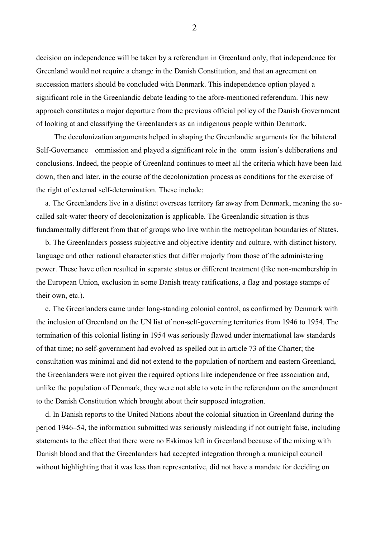decision on independence will be taken by a referendum in Greenland only, that independence for Greenland would not require a change in the Danish Constitution, and that an agreement on succession matters should be concluded with Denmark. This independence option played a significant role in the Greenlandic debate leading to the afore-mentioned referendum. This new approach constitutes a major departure from the previous official policy of the Danish Government of looking at and classifying the Greenlanders as an indigenous people within Denmark.

 The decolonization arguments helped in shaping the Greenlandic arguments for the bilateral Self-Governance ommission and played a significant role in the omm ission's deliberations and conclusions. Indeed, the people of Greenland continues to meet all the criteria which have been laid down, then and later, in the course of the decolonization process as conditions for the exercise of the right of external self-determination. These include:

a. The Greenlanders live in a distinct overseas territory far away from Denmark, meaning the socalled salt-water theory of decolonization is applicable. The Greenlandic situation is thus fundamentally different from that of groups who live within the metropolitan boundaries of States.

b. The Greenlanders possess subjective and objective identity and culture, with distinct history, language and other national characteristics that differ majorly from those of the administering power. These have often resulted in separate status or different treatment (like non-membership in the European Union, exclusion in some Danish treaty ratifications, a flag and postage stamps of their own, etc.).

c. The Greenlanders came under long-standing colonial control, as confirmed by Denmark with the inclusion of Greenland on the UN list of non-self-governing territories from 1946 to 1954. The termination of this colonial listing in 1954 was seriously flawed under international law standards of that time; no self-government had evolved as spelled out in article 73 of the Charter; the consultation was minimal and did not extend to the population of northern and eastern Greenland, the Greenlanders were not given the required options like independence or free association and, unlike the population of Denmark, they were not able to vote in the referendum on the amendment to the Danish Constitution which brought about their supposed integration.

d. In Danish reports to the United Nations about the colonial situation in Greenland during the period 1946–54, the information submitted was seriously misleading if not outright false, including statements to the effect that there were no Eskimos left in Greenland because of the mixing with Danish blood and that the Greenlanders had accepted integration through a municipal council without highlighting that it was less than representative, did not have a mandate for deciding on

2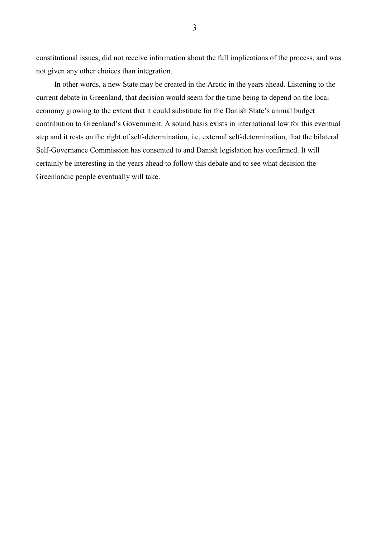constitutional issues, did not receive information about the full implications of the process, and was not given any other choices than integration.

 In other words, a new State may be created in the Arctic in the years ahead. Listening to the current debate in Greenland, that decision would seem for the time being to depend on the local economy growing to the extent that it could substitute for the Danish State's annual budget contribution to Greenland's Government. A sound basis exists in international law for this eventual step and it rests on the right of self-determination, i.e. external self-determination, that the bilateral Self-Governance Commission has consented to and Danish legislation has confirmed. It will certainly be interesting in the years ahead to follow this debate and to see what decision the Greenlandic people eventually will take.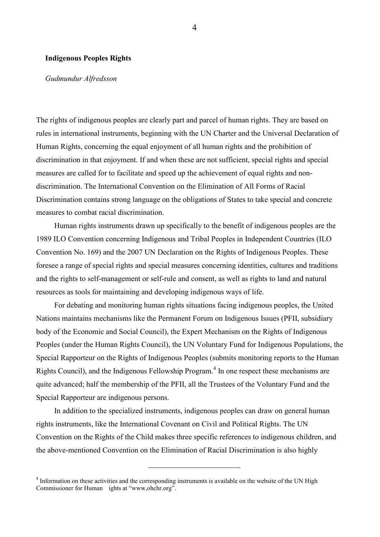#### <span id="page-8-0"></span>**Indigenous Peoples Rights**

#### <span id="page-8-1"></span>*Gudmundur Alfredsson*

The rights of indigenous peoples are clearly part and parcel of human rights. They are based on rules in international instruments, beginning with the UN Charter and the Universal Declaration of Human Rights, concerning the equal enjoyment of all human rights and the prohibition of discrimination in that enjoyment. If and when these are not sufficient, special rights and special measures are called for to facilitate and speed up the achievement of equal rights and nondiscrimination. The International Convention on the Elimination of All Forms of Racial Discrimination contains strong language on the obligations of States to take special and concrete measures to combat racial discrimination.

 Human rights instruments drawn up specifically to the benefit of indigenous peoples are the 1989 ILO Convention concerning Indigenous and Tribal Peoples in Independent Countries (ILO Convention No. 169) and the 2007 UN Declaration on the Rights of Indigenous Peoples. These foresee a range of special rights and special measures concerning identities, cultures and traditions and the rights to self-management or self-rule and consent, as well as rights to land and natural resources as tools for maintaining and developing indigenous ways of life.

 For debating and monitoring human rights situations facing indigenous peoples, the United Nations maintains mechanisms like the Permanent Forum on Indigenous Issues (PFII, subsidiary body of the Economic and Social Council), the Expert Mechanism on the Rights of Indigenous Peoples (under the Human Rights Council), the UN Voluntary Fund for Indigenous Populations, the Special Rapporteur on the Rights of Indigenous Peoples (submits monitoring reports to the Human Rights Council), and the Indigenous Fellowship Program.<sup>4</sup> In one respect these mechanisms are quite advanced; half the membership of the PFII, all the Trustees of the Voluntary Fund and the Special Rapporteur are indigenous persons.

 In addition to the specialized instruments, indigenous peoples can draw on general human rights instruments, like the International Covenant on Civil and Political Rights. The UN Convention on the Rights of the Child makes three specific references to indigenous children, and the above-mentioned Convention on the Elimination of Racial Discrimination is also highly

<sup>&</sup>lt;sup>4</sup> Information on these activities and the corresponding instruments is available on the website of the UN High Commissioner for Human ights at "www,ohchr.org".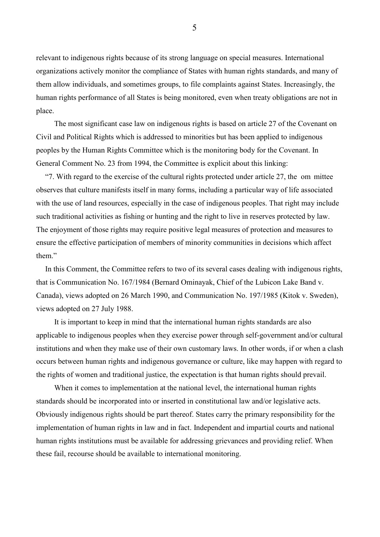relevant to indigenous rights because of its strong language on special measures. International organizations actively monitor the compliance of States with human rights standards, and many of them allow individuals, and sometimes groups, to file complaints against States. Increasingly, the human rights performance of all States is being monitored, even when treaty obligations are not in place.

 The most significant case law on indigenous rights is based on article 27 of the Covenant on Civil and Political Rights which is addressed to minorities but has been applied to indigenous peoples by the Human Rights Committee which is the monitoring body for the Covenant. In General Comment No. 23 from 1994, the Committee is explicit about this linking:

"7. With regard to the exercise of the cultural rights protected under article 27, the om mittee observes that culture manifests itself in many forms, including a particular way of life associated with the use of land resources, especially in the case of indigenous peoples. That right may include such traditional activities as fishing or hunting and the right to live in reserves protected by law. The enjoyment of those rights may require positive legal measures of protection and measures to ensure the effective participation of members of minority communities in decisions which affect them"

In this Comment, the Committee refers to two of its several cases dealing with indigenous rights, that is Communication No. 167/1984 (Bernard Ominayak, Chief of the Lubicon Lake Band v. Canada), views adopted on 26 March 1990, and Communication No. 197/1985 (Kitok v. Sweden), views adopted on 27 July 1988.

 It is important to keep in mind that the international human rights standards are also applicable to indigenous peoples when they exercise power through self-government and/or cultural institutions and when they make use of their own customary laws. In other words, if or when a clash occurs between human rights and indigenous governance or culture, like may happen with regard to the rights of women and traditional justice, the expectation is that human rights should prevail.

 When it comes to implementation at the national level, the international human rights standards should be incorporated into or inserted in constitutional law and/or legislative acts. Obviously indigenous rights should be part thereof. States carry the primary responsibility for the implementation of human rights in law and in fact. Independent and impartial courts and national human rights institutions must be available for addressing grievances and providing relief. When these fail, recourse should be available to international monitoring.

5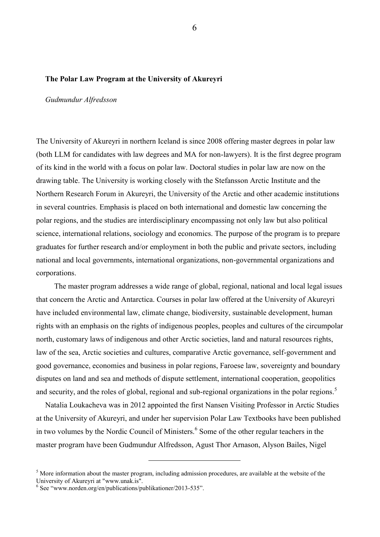#### <span id="page-10-0"></span>**The Polar Law Program at the University of Akureyri**

#### <span id="page-10-1"></span>*Gudmundur Alfredsson*

The University of Akureyri in northern Iceland is since 2008 offering master degrees in polar law (both LLM for candidates with law degrees and MA for non-lawyers). It is the first degree program of its kind in the world with a focus on polar law. Doctoral studies in polar law are now on the drawing table. The University is working closely with the Stefansson Arctic Institute and the Northern Research Forum in Akureyri, the University of the Arctic and other academic institutions in several countries. Emphasis is placed on both international and domestic law concerning the polar regions, and the studies are interdisciplinary encompassing not only law but also political science, international relations, sociology and economics. The purpose of the program is to prepare graduates for further research and/or employment in both the public and private sectors, including national and local governments, international organizations, non-governmental organizations and corporations.

 The master program addresses a wide range of global, regional, national and local legal issues that concern the Arctic and Antarctica. Courses in polar law offered at the University of Akureyri have included environmental law, climate change, biodiversity, sustainable development, human rights with an emphasis on the rights of indigenous peoples, peoples and cultures of the circumpolar north, customary laws of indigenous and other Arctic societies, land and natural resources rights, law of the sea, Arctic societies and cultures, comparative Arctic governance, self-government and good governance, economies and business in polar regions, Faroese law, sovereignty and boundary disputes on land and sea and methods of dispute settlement, international cooperation, geopolitics and security, and the roles of global, regional and sub-regional organizations in the polar regions.<sup>5</sup>

Natalia Loukacheva was in 2012 appointed the first Nansen Visiting Professor in Arctic Studies at the University of Akureyri, and under her supervision Polar Law Textbooks have been published in two volumes by the Nordic Council of Ministers.<sup>6</sup> Some of the other regular teachers in the master program have been Gudmundur Alfredsson, Agust Thor Arnason, Alyson Bailes, Nigel

 $<sup>5</sup>$  More information about the master program, including admission procedures, are available at the website of the</sup> University of Akureyri at ["www.unak.is"](http://www.unak.is/).

<sup>&</sup>lt;sup>6</sup> See ["www.norden.org/en/publications/publikationer/2013-535"](http://www.norden.org/en/publications/publikationer/2013-535).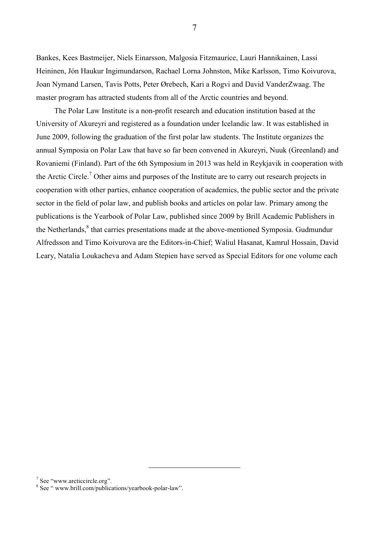Bankes, Kees Bastmeijer, Niels Einarsson, Malgosia Fitzmaurice, Lauri Hannikainen, Lassi Heininen, Jón Haukur Ingimundarson, Rachael Lorna Johnston, Mike Karlsson, Timo Koivurova, Joan Nymand Larsen, Tavis Potts, Peter Ørebech, Kari a Rogvi and David VanderZwaag. The master program has attracted students from all of the Arctic countries and beyond.

 The Polar Law Institute is a non-profit research and education institution based at the University of Akureyri and registered as a foundation under Icelandic law. It was established in June 2009, following the graduation of the first polar law students. The Institute organizes the annual Symposia on Polar Law that have so far been convened in Akureyri, Nuuk (Greenland) and Rovaniemi (Finland). Part of the 6th Symposium in 2013 was held in Reykjavik in cooperation with the Arctic Circle.<sup>7</sup> Other aims and purposes of the Institute are to carry out research projects in cooperation with other parties, enhance cooperation of academics, the public sector and the private sector in the field of polar law, and publish books and articles on polar law. Primary among the publications is the Yearbook of Polar Law, published since 2009 by Brill Academic Publishers in the Netherlands,<sup>8</sup> that carries presentations made at the above-mentioned Symposia. Gudmundur Alfredsson and Timo Koivurova are the Editors-in-Chief; Waliul Hasanat, Kamrul Hossain, David Leary, Natalia Loukacheva and Adam Stepien have served as Special Editors for one volume each

<sup>&</sup>lt;sup>7</sup> See ["www.arcticcircle.org"](http://www.arcticcircle.org/).

<sup>&</sup>lt;sup>8</sup> See "www.brill.com/publications/yearbook-polar-law".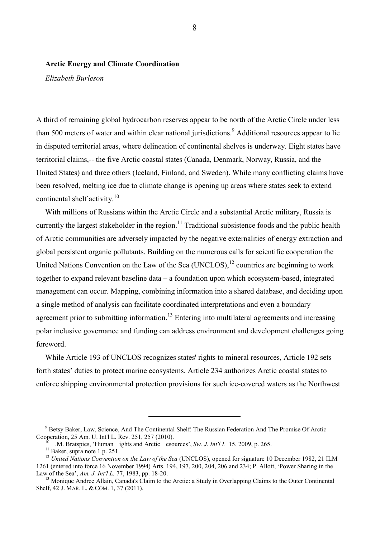#### <span id="page-12-0"></span>**Arctic Energy and Climate Coordination**

<span id="page-12-1"></span>*Elizabeth Burleson* 

A third of remaining global hydrocarbon reserves appear to be north of the Arctic Circle under less than 500 meters of water and within clear national jurisdictions.<sup>9</sup> Additional resources appear to lie in disputed territorial areas, where delineation of continental shelves is underway. Eight states have territorial claims,-- the five Arctic coastal states (Canada, Denmark, Norway, Russia, and the United States) and three others (Iceland, Finland, and Sweden). While many conflicting claims have been resolved, melting ice due to climate change is opening up areas where states seek to extend continental shelf activity.<sup>10</sup>

With millions of Russians within the Arctic Circle and a substantial Arctic military, Russia is currently the largest stakeholder in the region.<sup>11</sup> Traditional subsistence foods and the public health of Arctic communities are adversely impacted by the negative externalities of energy extraction and global persistent organic pollutants. Building on the numerous calls for scientific cooperation the United Nations Convention on the Law of the Sea  $(UNCLOS)$ ,  $^{12}$  countries are beginning to work together to expand relevant baseline data – a foundation upon which ecosystem-based, integrated management can occur. Mapping, combining information into a shared database, and deciding upon a single method of analysis can facilitate coordinated interpretations and even a boundary agreement prior to submitting information.<sup>13</sup> Entering into multilateral agreements and increasing polar inclusive governance and funding can address environment and development challenges going foreword.

While Article 193 of UNCLOS recognizes states' rights to mineral resources, Article 192 sets forth states' duties to protect marine ecosystems. Article 234 authorizes Arctic coastal states to enforce shipping environmental protection provisions for such ice-covered waters as the Northwest

<sup>&</sup>lt;sup>9</sup> Betsy Baker, Law, Science, And The Continental Shelf: The Russian Federation And The Promise Of Arctic Cooperation, 25 Am. U. Int'l L. Rev. 251, 257 (2010).

<sup>10</sup> .M. Bratspies, 'Human ights and Arctic esources', *Sw. J. Int'l L.* 15, 2009, p. 265.

 $\frac{111}{11}$  Baker, supra note 1 p. 251.

<sup>&</sup>lt;sup>12</sup> United Nations Convention on the Law of the Sea (UNCLOS), opened for signature 10 December 1982, 21 ILM 1261 (entered into force 16 November 1994) Arts. 194, 197, 200, 204, 206 and 234; P. Allott, 'Power Sharing in the Law of the Sea', *Am. J. Int'l L.* 77, 1983, pp. 18-20.

<sup>&</sup>lt;sup>13</sup> Monique Andree Allain, Canada's Claim to the Arctic: a Study in Overlapping Claims to the Outer Continental Shelf, 42 J. MAR. L. & COM. 1, 37 (2011).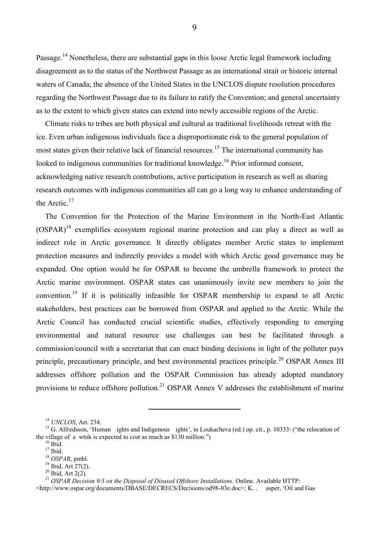Passage.<sup>14</sup> Nonetheless, there are substantial gaps in this loose Arctic legal framework including disagreement as to the status of the Northwest Passage as an international strait or historic internal waters of Canada; the absence of the United States in the UNCLOS dispute resolution procedures regarding the Northwest Passage due to its failure to ratify the Convention; and general uncertainty as to the extent to which given states can extend into newly accessible regions of the Arctic.

Climate risks to tribes are both physical and cultural as traditional livelihoods retreat with the ice. Even urban indigenous individuals face a disproportionate risk to the general population of most states given their relative lack of financial resources.<sup>15</sup> The international community has looked to indigenous communities for traditional knowledge.<sup>16</sup> Prior informed consent, acknowledging native research contributions, active participation in research as well as sharing research outcomes with indigenous communities all can go a long way to enhance understanding of the Arctic.<sup>17</sup>

The Convention for the Protection of the Marine Environment in the North-East Atlantic (OSPAR)<sup>18</sup> exemplifies ecosystem regional marine protection and can play a direct as well as indirect role in Arctic governance. It directly obligates member Arctic states to implement protection measures and indirectly provides a model with which Arctic good governance may be expanded. One option would be for OSPAR to become the umbrella framework to protect the Arctic marine environment. OSPAR states can unanimously invite new members to join the convention.<sup>19</sup> If it is politically infeasible for OSPAR membership to expand to all Arctic stakeholders, best practices can be borrowed from OSPAR and applied to the Arctic. While the Arctic Council has conducted crucial scientific studies, effectively responding to emerging environmental and natural resource use challenges can best be facilitated through a commission/council with a secretariat that can enact binding decisions in light of the polluter pays principle, precautionary principle, and best environmental practices principle.<sup>20</sup> OSPAR Annex III addresses offshore pollution and the OSPAR Commission has already adopted mandatory provisions to reduce offshore pollution*.* <sup>21</sup> OSPAR Annex V addresses the establishment of marine

 $\overline{a}$ 

9

<sup>14</sup> *UNCLOS*, Art. 234.

<sup>&</sup>lt;sup>15</sup> G. Alfredsson, 'Human ights and Indigenous ights', in Loukacheva (ed.) op. cit., p. 10333: ("the relocation of the village of e wtok is expected to cost as much as \$130 million.")

 $16$  Ibid.

 $17$  Ibid.

<sup>18</sup> *OSPAR*, pmbl.

 $19$  Ibid, Art 27(2).

 $20$  Ibid, Art 2(2).

<sup>&</sup>lt;sup>21</sup> *OSPAR Decision 9/3 on the Disposal of Disused Offshore Installations*. Online. Available HTTP:

<sup>&</sup>lt;http://www.ospar.org/documents/DBASE/DECRECS/Decisions/od98-03e.doc>; K. . asper, 'Oil and Gas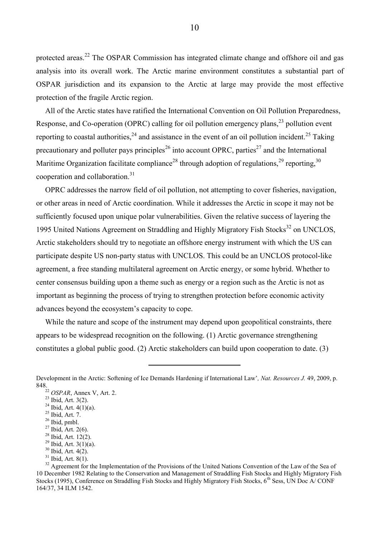protected areas.<sup>22</sup> The OSPAR Commission has integrated climate change and offshore oil and gas analysis into its overall work. The Arctic marine environment constitutes a substantial part of OSPAR jurisdiction and its expansion to the Arctic at large may provide the most effective protection of the fragile Arctic region.

All of the Arctic states have ratified the International Convention on Oil Pollution Preparedness, Response, and Co-operation (OPRC) calling for oil pollution emergency plans,<sup>23</sup> pollution event reporting to coastal authorities,  $24$  and assistance in the event of an oil pollution incident.  $25$  Taking precautionary and polluter pays principles<sup>26</sup> into account OPRC, parties<sup>27</sup> and the International Maritime Organization facilitate compliance<sup>28</sup> through adoption of regulations,<sup>29</sup> reporting,<sup>30</sup> cooperation and collaboration.<sup>31</sup>

OPRC addresses the narrow field of oil pollution, not attempting to cover fisheries, navigation, or other areas in need of Arctic coordination. While it addresses the Arctic in scope it may not be sufficiently focused upon unique polar vulnerabilities. Given the relative success of layering the 1995 United Nations Agreement on Straddling and Highly Migratory Fish Stocks<sup>32</sup> on UNCLOS, Arctic stakeholders should try to negotiate an offshore energy instrument with which the US can participate despite US non-party status with UNCLOS. This could be an UNCLOS protocol-like agreement, a free standing multilateral agreement on Arctic energy, or some hybrid. Whether to center consensus building upon a theme such as energy or a region such as the Arctic is not as important as beginning the process of trying to strengthen protection before economic activity advances beyond the ecosystem's capacity to cope.

While the nature and scope of the instrument may depend upon geopolitical constraints, there appears to be widespread recognition on the following. (1) Arctic governance strengthening constitutes a global public good. (2) Arctic stakeholders can build upon cooperation to date. (3)

 $\overline{a}$ 

<sup>30</sup> Ibid, Art. 4(2).

Development in the Arctic: Softening of Ice Demands Hardening if International Law'*, Nat. Resources J.* 49, 2009, p. 848.

<sup>22</sup> *OSPAR*, Annex V, Art. 2.

 $23$  Ibid, Art. 3(2).

 $24$  Ibid, Art.  $4(1)(a)$ .

 $25$  Ibid, Art. 7.

 $26$  Ibid, pmbl.

<sup>27</sup> Ibid, Art. 2(6).

<sup>&</sup>lt;sup>28</sup> Ibid, Art. 12(2).  $^{29}$  Ibid, Art. 3(1)(a).

 $31$  Ibid, Art. 8(1).

<sup>&</sup>lt;sup>32</sup> Agreement for the Implementation of the Provisions of the United Nations Convention of the Law of the Sea of 10 December 1982 Relating to the Conservation and Management of Straddling Fish Stocks and Highly Migratory Fish Stocks (1995), Conference on Straddling Fish Stocks and Highly Migratory Fish Stocks, 6<sup>th</sup> Sess, UN Doc A/ CONF 164/37, 34 ILM 1542.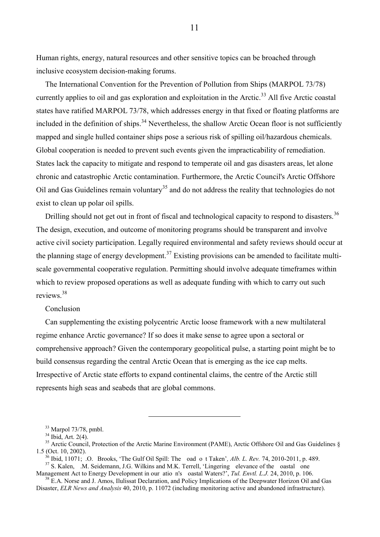Human rights, energy, natural resources and other sensitive topics can be broached through inclusive ecosystem decision-making forums.

The International Convention for the Prevention of Pollution from Ships (MARPOL 73/78) currently applies to oil and gas exploration and exploitation in the Arctic.<sup>33</sup> All five Arctic coastal states have ratified MARPOL 73/78, which addresses energy in that fixed or floating platforms are included in the definition of ships.<sup>34</sup> Nevertheless, the shallow Arctic Ocean floor is not sufficiently mapped and single hulled container ships pose a serious risk of spilling oil/hazardous chemicals. Global cooperation is needed to prevent such events given the impracticability of remediation. States lack the capacity to mitigate and respond to temperate oil and gas disasters areas, let alone chronic and catastrophic Arctic contamination. Furthermore, the Arctic Council's Arctic Offshore Oil and Gas Guidelines remain voluntary<sup>35</sup> and do not address the reality that technologies do not exist to clean up polar oil spills.

Drilling should not get out in front of fiscal and technological capacity to respond to disasters.<sup>36</sup> The design, execution, and outcome of monitoring programs should be transparent and involve active civil society participation. Legally required environmental and safety reviews should occur at the planning stage of energy development.<sup>37</sup> Existing provisions can be amended to facilitate multiscale governmental cooperative regulation. Permitting should involve adequate timeframes within which to review proposed operations as well as adequate funding with which to carry out such reviews.<sup>38</sup>

#### Conclusion

Can supplementing the existing polycentric Arctic loose framework with a new multilateral regime enhance Arctic governance? If so does it make sense to agree upon a sectoral or comprehensive approach? Given the contemporary geopolitical pulse, a starting point might be to build consensus regarding the central Arctic Ocean that is emerging as the ice cap melts. Irrespective of Arctic state efforts to expand continental claims, the centre of the Arctic still represents high seas and seabeds that are global commons.

 $\overline{a}$ 

11

 $33$  Marpol 73/78, pmbl.

 $34$  Ibid, Art. 2(4).

<sup>&</sup>lt;sup>35</sup> Arctic Council, Protection of the Arctic Marine Environment (PAME), Arctic Offshore Oil and Gas Guidelines  $\S$ 1.5 (Oct. 10, 2002).

 $\delta$  Ibid, 11071; .O. Brooks, 'The Gulf Oil Spill: The oad o t Taken', Alb. L. Rev. 74, 2010-2011, p. 489. <sup>37</sup> S. Kalen, M. Seidemann, J.G. Wilkins and M.K. Terrell, 'Lingering elevance of the oastal one

Management Act to Energy Development in our atio n's oastal Waters?', *Tul. Envtl. L.J.* 24, 2010, p. 106. <sup>38</sup> E.A. Norse and J. Amos, Ilulissat Declaration, and Policy Implications of the Deepwater Horizon Oil and Gas

Disaster, *ELR News and Analysis* 40, 2010, p. 11072 (including monitoring active and abandoned infrastructure).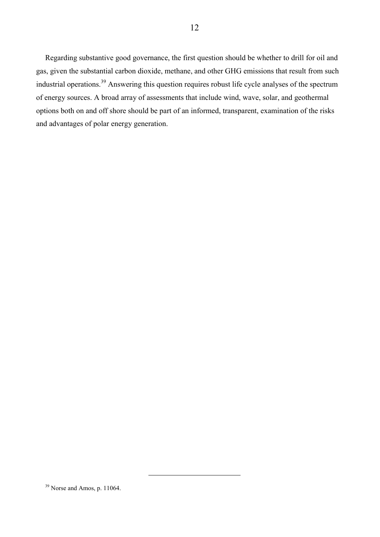Regarding substantive good governance, the first question should be whether to drill for oil and gas, given the substantial carbon dioxide, methane, and other GHG emissions that result from such industrial operations.<sup>39</sup> Answering this question requires robust life cycle analyses of the spectrum of energy sources. A broad array of assessments that include wind, wave, solar, and geothermal options both on and off shore should be part of an informed, transparent, examination of the risks and advantages of polar energy generation.

<sup>&</sup>lt;sup>39</sup> Norse and Amos, p. 11064.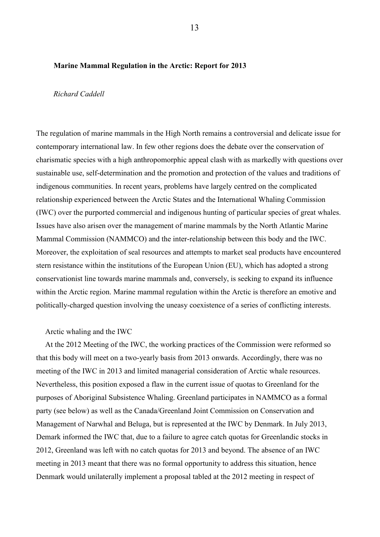#### <span id="page-17-0"></span> **Marine Mammal Regulation in the Arctic: Report for 2013**

#### <span id="page-17-1"></span> *Richard Caddell*

The regulation of marine mammals in the High North remains a controversial and delicate issue for contemporary international law. In few other regions does the debate over the conservation of charismatic species with a high anthropomorphic appeal clash with as markedly with questions over sustainable use, self-determination and the promotion and protection of the values and traditions of indigenous communities. In recent years, problems have largely centred on the complicated relationship experienced between the Arctic States and the International Whaling Commission (IWC) over the purported commercial and indigenous hunting of particular species of great whales. Issues have also arisen over the management of marine mammals by the North Atlantic Marine Mammal Commission (NAMMCO) and the inter-relationship between this body and the IWC. Moreover, the exploitation of seal resources and attempts to market seal products have encountered stern resistance within the institutions of the European Union (EU), which has adopted a strong conservationist line towards marine mammals and, conversely, is seeking to expand its influence within the Arctic region. Marine mammal regulation within the Arctic is therefore an emotive and politically-charged question involving the uneasy coexistence of a series of conflicting interests.

#### Arctic whaling and the IWC

At the 2012 Meeting of the IWC, the working practices of the Commission were reformed so that this body will meet on a two-yearly basis from 2013 onwards. Accordingly, there was no meeting of the IWC in 2013 and limited managerial consideration of Arctic whale resources. Nevertheless, this position exposed a flaw in the current issue of quotas to Greenland for the purposes of Aboriginal Subsistence Whaling. Greenland participates in NAMMCO as a formal party (see below) as well as the Canada/Greenland Joint Commission on Conservation and Management of Narwhal and Beluga, but is represented at the IWC by Denmark. In July 2013, Demark informed the IWC that, due to a failure to agree catch quotas for Greenlandic stocks in 2012, Greenland was left with no catch quotas for 2013 and beyond. The absence of an IWC meeting in 2013 meant that there was no formal opportunity to address this situation, hence Denmark would unilaterally implement a proposal tabled at the 2012 meeting in respect of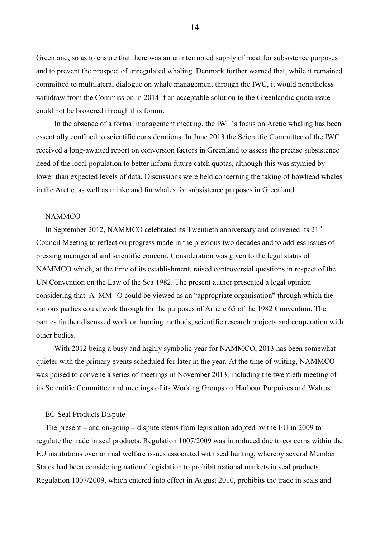Greenland, so as to ensure that there was an uninterrupted supply of meat for subsistence purposes and to prevent the prospect of unregulated whaling. Denmark further warned that, while it remained committed to multilateral dialogue on whale management through the IWC, it would nonetheless withdraw from the Commission in 2014 if an acceptable solution to the Greenlandic quota issue could not be brokered through this forum.

In the absence of a formal management meeting, the IW 's focus on Arctic whaling has been essentially confined to scientific considerations. In June 2013 the Scientific Committee of the IWC received a long-awaited report on conversion factors in Greenland to assess the precise subsistence need of the local population to better inform future catch quotas, although this was stymied by lower than expected levels of data. Discussions were held concerning the taking of bowhead whales in the Arctic, as well as minke and fin whales for subsistence purposes in Greenland.

#### NAMMCO

In September 2012, NAMMCO celebrated its Twentieth anniversary and convened its  $21<sup>st</sup>$ Council Meeting to reflect on progress made in the previous two decades and to address issues of pressing managerial and scientific concern. Consideration was given to the legal status of NAMMCO which, at the time of its establishment, raised controversial questions in respect of the UN Convention on the Law of the Sea 1982. The present author presented a legal opinion considering that A MM O could be viewed as an "appropriate organisation" through which the various parties could work through for the purposes of Article 65 of the 1982 Convention. The parties further discussed work on hunting methods, scientific research projects and cooperation with other bodies.

With 2012 being a busy and highly symbolic year for NAMMCO, 2013 has been somewhat quieter with the primary events scheduled for later in the year. At the time of writing, NAMMCO was poised to convene a series of meetings in November 2013, including the twentieth meeting of its Scientific Committee and meetings of its Working Groups on Harbour Porpoises and Walrus.

#### EC-Seal Products Dispute

The present – and on-going – dispute stems from legislation adopted by the EU in 2009 to regulate the trade in seal products. Regulation 1007/2009 was introduced due to concerns within the EU institutions over animal welfare issues associated with seal hunting, whereby several Member States had been considering national legislation to prohibit national markets in seal products. Regulation 1007/2009, which entered into effect in August 2010, prohibits the trade in seals and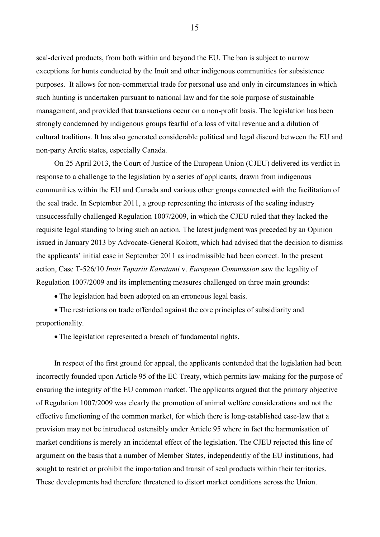seal-derived products, from both within and beyond the EU. The ban is subject to narrow exceptions for hunts conducted by the Inuit and other indigenous communities for subsistence purposes. It allows for non-commercial trade for personal use and only in circumstances in which such hunting is undertaken pursuant to national law and for the sole purpose of sustainable management, and provided that transactions occur on a non-profit basis. The legislation has been strongly condemned by indigenous groups fearful of a loss of vital revenue and a dilution of cultural traditions. It has also generated considerable political and legal discord between the EU and non-party Arctic states, especially Canada.

On 25 April 2013, the Court of Justice of the European Union (CJEU) delivered its verdict in response to a challenge to the legislation by a series of applicants, drawn from indigenous communities within the EU and Canada and various other groups connected with the facilitation of the seal trade. In September 2011, a group representing the interests of the sealing industry unsuccessfully challenged Regulation 1007/2009, in which the CJEU ruled that they lacked the requisite legal standing to bring such an action. The latest judgment was preceded by an Opinion issued in January 2013 by Advocate-General Kokott, which had advised that the decision to dismiss the applicants' initial case in September 2011 as inadmissible had been correct. In the present action, Case T-526/10 *Inuit Tapariit Kanatami* v. *European Commission* saw the legality of Regulation 1007/2009 and its implementing measures challenged on three main grounds:

The legislation had been adopted on an erroneous legal basis.

 The restrictions on trade offended against the core principles of subsidiarity and proportionality.

The legislation represented a breach of fundamental rights.

In respect of the first ground for appeal, the applicants contended that the legislation had been incorrectly founded upon Article 95 of the EC Treaty, which permits law-making for the purpose of ensuring the integrity of the EU common market. The applicants argued that the primary objective of Regulation 1007/2009 was clearly the promotion of animal welfare considerations and not the effective functioning of the common market, for which there is long-established case-law that a provision may not be introduced ostensibly under Article 95 where in fact the harmonisation of market conditions is merely an incidental effect of the legislation. The CJEU rejected this line of argument on the basis that a number of Member States, independently of the EU institutions, had sought to restrict or prohibit the importation and transit of seal products within their territories. These developments had therefore threatened to distort market conditions across the Union.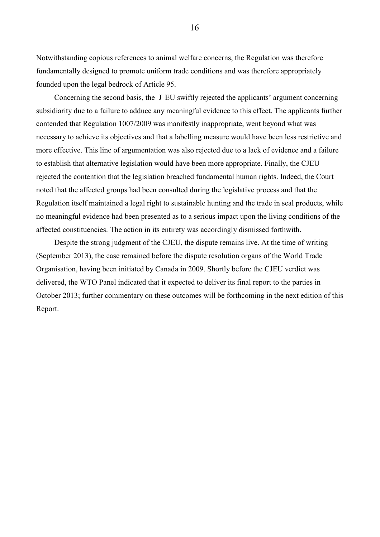Notwithstanding copious references to animal welfare concerns, the Regulation was therefore fundamentally designed to promote uniform trade conditions and was therefore appropriately founded upon the legal bedrock of Article 95.

Concerning the second basis, the J EU swiftly rejected the applicants' argument concerning subsidiarity due to a failure to adduce any meaningful evidence to this effect. The applicants further contended that Regulation 1007/2009 was manifestly inappropriate, went beyond what was necessary to achieve its objectives and that a labelling measure would have been less restrictive and more effective. This line of argumentation was also rejected due to a lack of evidence and a failure to establish that alternative legislation would have been more appropriate. Finally, the CJEU rejected the contention that the legislation breached fundamental human rights. Indeed, the Court noted that the affected groups had been consulted during the legislative process and that the Regulation itself maintained a legal right to sustainable hunting and the trade in seal products, while no meaningful evidence had been presented as to a serious impact upon the living conditions of the affected constituencies. The action in its entirety was accordingly dismissed forthwith.

Despite the strong judgment of the CJEU, the dispute remains live. At the time of writing (September 2013), the case remained before the dispute resolution organs of the World Trade Organisation, having been initiated by Canada in 2009. Shortly before the CJEU verdict was delivered, the WTO Panel indicated that it expected to deliver its final report to the parties in October 2013; further commentary on these outcomes will be forthcoming in the next edition of this Report.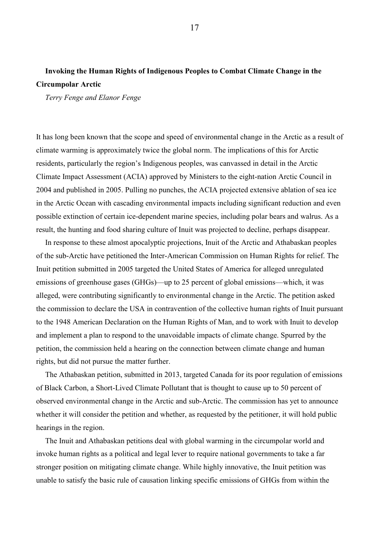## <span id="page-21-0"></span>**Invoking the Human Rights of Indigenous Peoples to Combat Climate Change in the Circumpolar Arctic**

<span id="page-21-1"></span>*Terry Fenge and Elanor Fenge* 

It has long been known that the scope and speed of environmental change in the Arctic as a result of climate warming is approximately twice the global norm. The implications of this for Arctic residents, particularly the region's Indigenous peoples, was canvassed in detail in the Arctic Climate Impact Assessment (ACIA) approved by Ministers to the eight-nation Arctic Council in 2004 and published in 2005. Pulling no punches, the ACIA projected extensive ablation of sea ice in the Arctic Ocean with cascading environmental impacts including significant reduction and even possible extinction of certain ice-dependent marine species, including polar bears and walrus. As a result, the hunting and food sharing culture of Inuit was projected to decline, perhaps disappear.

In response to these almost apocalyptic projections, Inuit of the Arctic and Athabaskan peoples of the sub-Arctic have petitioned the Inter-American Commission on Human Rights for relief. The Inuit petition submitted in 2005 targeted the United States of America for alleged unregulated emissions of greenhouse gases (GHGs)—up to 25 percent of global emissions—which, it was alleged, were contributing significantly to environmental change in the Arctic. The petition asked the commission to declare the USA in contravention of the collective human rights of Inuit pursuant to the 1948 American Declaration on the Human Rights of Man, and to work with Inuit to develop and implement a plan to respond to the unavoidable impacts of climate change. Spurred by the petition, the commission held a hearing on the connection between climate change and human rights, but did not pursue the matter further.

The Athabaskan petition, submitted in 2013, targeted Canada for its poor regulation of emissions of Black Carbon, a Short-Lived Climate Pollutant that is thought to cause up to 50 percent of observed environmental change in the Arctic and sub-Arctic. The commission has yet to announce whether it will consider the petition and whether, as requested by the petitioner, it will hold public hearings in the region.

The Inuit and Athabaskan petitions deal with global warming in the circumpolar world and invoke human rights as a political and legal lever to require national governments to take a far stronger position on mitigating climate change. While highly innovative, the Inuit petition was unable to satisfy the basic rule of causation linking specific emissions of GHGs from within the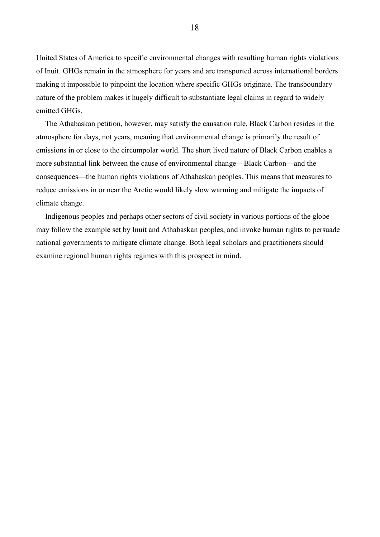United States of America to specific environmental changes with resulting human rights violations of Inuit. GHGs remain in the atmosphere for years and are transported across international borders making it impossible to pinpoint the location where specific GHGs originate. The transboundary nature of the problem makes it hugely difficult to substantiate legal claims in regard to widely emitted GHGs.

The Athabaskan petition, however, may satisfy the causation rule. Black Carbon resides in the atmosphere for days, not years, meaning that environmental change is primarily the result of emissions in or close to the circumpolar world. The short lived nature of Black Carbon enables a more substantial link between the cause of environmental change—Black Carbon—and the consequences—the human rights violations of Athabaskan peoples. This means that measures to reduce emissions in or near the Arctic would likely slow warming and mitigate the impacts of climate change.

Indigenous peoples and perhaps other sectors of civil society in various portions of the globe may follow the example set by Inuit and Athabaskan peoples, and invoke human rights to persuade national governments to mitigate climate change. Both legal scholars and practitioners should examine regional human rights regimes with this prospect in mind.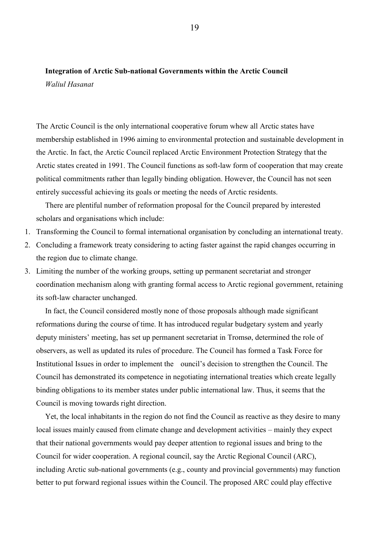## <span id="page-23-0"></span>**Integration of Arctic Sub-national Governments within the Arctic Council**

<span id="page-23-1"></span>*Waliul Hasanat* 

The Arctic Council is the only international cooperative forum whew all Arctic states have membership established in 1996 aiming to environmental protection and sustainable development in the Arctic. In fact, the Arctic Council replaced Arctic Environment Protection Strategy that the Arctic states created in 1991. The Council functions as soft-law form of cooperation that may create political commitments rather than legally binding obligation. However, the Council has not seen entirely successful achieving its goals or meeting the needs of Arctic residents.

There are plentiful number of reformation proposal for the Council prepared by interested scholars and organisations which include:

- 1. Transforming the Council to formal international organisation by concluding an international treaty.
- 2. Concluding a framework treaty considering to acting faster against the rapid changes occurring in the region due to climate change.
- 3. Limiting the number of the working groups, setting up permanent secretariat and stronger coordination mechanism along with granting formal access to Arctic regional government, retaining its soft-law character unchanged.

In fact, the Council considered mostly none of those proposals although made significant reformations during the course of time. It has introduced regular budgetary system and yearly deputy ministers' meeting, has set up permanent secretariat in Tromsø, determined the role of observers, as well as updated its rules of procedure. The Council has formed a Task Force for Institutional Issues in order to implement the ouncil's decision to strengthen the Council. The Council has demonstrated its competence in negotiating international treaties which create legally binding obligations to its member states under public international law. Thus, it seems that the Council is moving towards right direction.

Yet, the local inhabitants in the region do not find the Council as reactive as they desire to many local issues mainly caused from climate change and development activities – mainly they expect that their national governments would pay deeper attention to regional issues and bring to the Council for wider cooperation. A regional council, say the Arctic Regional Council (ARC), including Arctic sub-national governments (e.g., county and provincial governments) may function better to put forward regional issues within the Council. The proposed ARC could play effective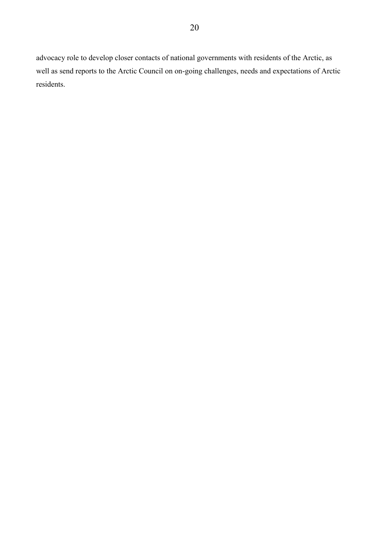advocacy role to develop closer contacts of national governments with residents of the Arctic, as well as send reports to the Arctic Council on on-going challenges, needs and expectations of Arctic residents.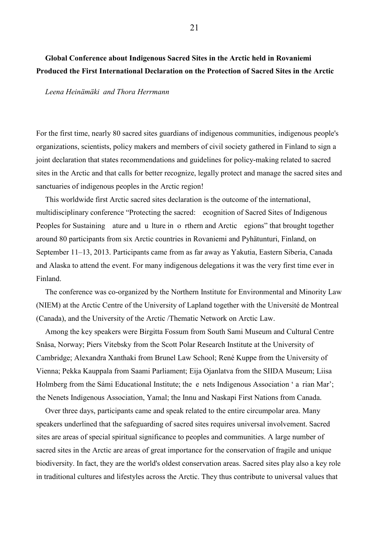## <span id="page-25-0"></span>**Global Conference about Indigenous Sacred Sites in the Arctic held in Rovaniemi Produced the First International Declaration on the Protection of Sacred Sites in the Arctic**

#### <span id="page-25-1"></span>*Leena Heinämäki and Thora Herrmann*

For the first time, nearly 80 sacred sites guardians of indigenous communities, indigenous people's organizations, scientists, policy makers and members of civil society gathered in Finland to sign a joint declaration that states recommendations and guidelines for policy-making related to sacred sites in the Arctic and that calls for better recognize, legally protect and manage the sacred sites and sanctuaries of indigenous peoples in the Arctic region!

This worldwide first Arctic sacred sites declaration is the outcome of the international, multidisciplinary conference "Protecting the sacred: ecognition of Sacred Sites of Indigenous Peoples for Sustaining ature and u lture in o rthern and Arctic egions" that brought together around 80 participants from six Arctic countries in Rovaniemi and Pyhätunturi, Finland, on September 11–13, 2013. Participants came from as far away as Yakutia, Eastern Siberia, Canada and Alaska to attend the event. For many indigenous delegations it was the very first time ever in Finland.

The conference was co-organized by the Northern Institute for Environmental and Minority Law (NIEM) at the Arctic Centre of the University of Lapland together with the Université de Montreal (Canada), and the University of the Arctic /Thematic Network on Arctic Law.

Among the key speakers were Birgitta Fossum from South Sami Museum and Cultural Centre Snåsa, Norway; Piers Vitebsky from the Scott Polar Research Institute at the University of Cambridge; Alexandra Xanthaki from Brunel Law School; René Kuppe from the University of Vienna; Pekka Kauppala from Saami Parliament; Eija Ojanlatva from the SIIDA Museum; Liisa Holmberg from the Sámi Educational Institute; the e nets Indigenous Association ' a rian Mar'; the Nenets Indigenous Association, Yamal; the Innu and Naskapi First Nations from Canada.

Over three days, participants came and speak related to the entire circumpolar area. Many speakers underlined that the safeguarding of sacred sites requires universal involvement. Sacred sites are areas of special spiritual significance to peoples and communities. A large number of sacred sites in the Arctic are areas of great importance for the conservation of fragile and unique biodiversity. In fact, they are the world's oldest conservation areas. Sacred sites play also a key role in traditional cultures and lifestyles across the Arctic. They thus contribute to universal values that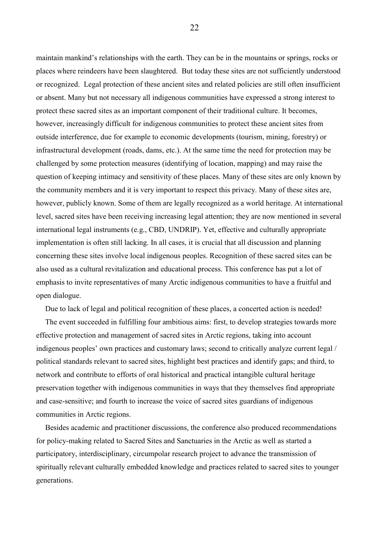maintain mankind's relationships with the earth. They can be in the mountains or springs, rocks or places where reindeers have been slaughtered. But today these sites are not sufficiently understood or recognized. Legal protection of these ancient sites and related policies are still often insufficient or absent. Many but not necessary all indigenous communities have expressed a strong interest to protect these sacred sites as an important component of their traditional culture. It becomes, however, increasingly difficult for indigenous communities to protect these ancient sites from outside interference, due for example to economic developments (tourism, mining, forestry) or infrastructural development (roads, dams, etc.). At the same time the need for protection may be challenged by some protection measures (identifying of location, mapping) and may raise the question of keeping intimacy and sensitivity of these places. Many of these sites are only known by the community members and it is very important to respect this privacy. Many of these sites are, however, publicly known. Some of them are legally recognized as a world heritage. At international level, sacred sites have been receiving increasing legal attention; they are now mentioned in several international legal instruments (e.g., CBD, UNDRIP). Yet, effective and culturally appropriate implementation is often still lacking. In all cases, it is crucial that all discussion and planning concerning these sites involve local indigenous peoples. Recognition of these sacred sites can be also used as a cultural revitalization and educational process. This conference has put a lot of emphasis to invite representatives of many Arctic indigenous communities to have a fruitful and open dialogue.

Due to lack of legal and political recognition of these places, a concerted action is needed!

The event succeeded in fulfilling four ambitious aims: first, to develop strategies towards more effective protection and management of sacred sites in Arctic regions, taking into account indigenous peoples' own practices and customary laws; second to critically analyze current legal / political standards relevant to sacred sites, highlight best practices and identify gaps; and third, to network and contribute to efforts of oral historical and practical intangible cultural heritage preservation together with indigenous communities in ways that they themselves find appropriate and case-sensitive; and fourth to increase the voice of sacred sites guardians of indigenous communities in Arctic regions.

Besides academic and practitioner discussions, the conference also produced recommendations for policy-making related to Sacred Sites and Sanctuaries in the Arctic as well as started a participatory, interdisciplinary, circumpolar research project to advance the transmission of spiritually relevant culturally embedded knowledge and practices related to sacred sites to younger generations.

22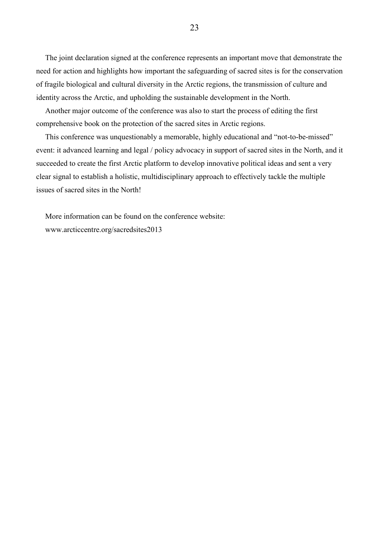The joint declaration signed at the conference represents an important move that demonstrate the need for action and highlights how important the safeguarding of sacred sites is for the conservation of fragile biological and cultural diversity in the Arctic regions, the transmission of culture and identity across the Arctic, and upholding the sustainable development in the North.

Another major outcome of the conference was also to start the process of editing the first comprehensive book on the protection of the sacred sites in Arctic regions.

This conference was unquestionably a memorable, highly educational and "not-to-be-missed" event: it advanced learning and legal / policy advocacy in support of sacred sites in the North, and it succeeded to create the first Arctic platform to develop innovative political ideas and sent a very clear signal to establish a holistic, multidisciplinary approach to effectively tackle the multiple issues of sacred sites in the North!

More information can be found on the conference website: www.arcticcentre.org/sacredsites2013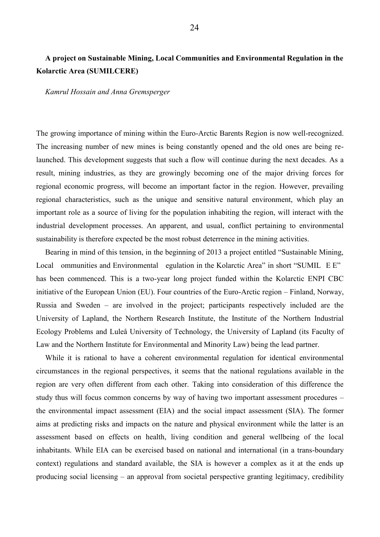## <span id="page-28-0"></span>**A project on Sustainable Mining, Local Communities and Environmental Regulation in the Kolarctic Area (SUMILCERE)**

#### <span id="page-28-1"></span>*Kamrul Hossain and Anna Gremsperger*

The growing importance of mining within the Euro-Arctic Barents Region is now well-recognized. The increasing number of new mines is being constantly opened and the old ones are being relaunched. This development suggests that such a flow will continue during the next decades. As a result, mining industries, as they are growingly becoming one of the major driving forces for regional economic progress, will become an important factor in the region. However, prevailing regional characteristics, such as the unique and sensitive natural environment, which play an important role as a source of living for the population inhabiting the region, will interact with the industrial development processes. An apparent, and usual, conflict pertaining to environmental sustainability is therefore expected be the most robust deterrence in the mining activities.

Bearing in mind of this tension, in the beginning of 2013 a project entitled "Sustainable Mining, Local ommunities and Environmental egulation in the Kolarctic Area" in short "SUMIL E E" has been commenced. This is a two-year long project funded within the Kolarctic ENPI CBC initiative of the European Union (EU). Four countries of the Euro-Arctic region – Finland, Norway, Russia and Sweden – are involved in the project; participants respectively included are the University of Lapland, the Northern Research Institute, the Institute of the Northern Industrial Ecology Problems and Luleå University of Technology, the University of Lapland (its Faculty of Law and the Northern Institute for Environmental and Minority Law) being the lead partner.

While it is rational to have a coherent environmental regulation for identical environmental circumstances in the regional perspectives, it seems that the national regulations available in the region are very often different from each other. Taking into consideration of this difference the study thus will focus common concerns by way of having two important assessment procedures – the environmental impact assessment (EIA) and the social impact assessment (SIA). The former aims at predicting risks and impacts on the nature and physical environment while the latter is an assessment based on effects on health, living condition and general wellbeing of the local inhabitants. While EIA can be exercised based on national and international (in a trans-boundary context) regulations and standard available, the SIA is however a complex as it at the ends up producing social licensing – an approval from societal perspective granting legitimacy, credibility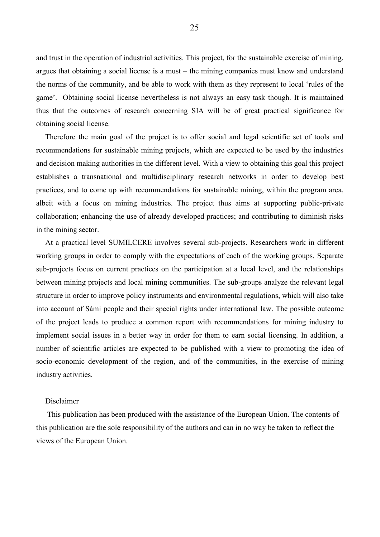and trust in the operation of industrial activities. This project, for the sustainable exercise of mining, argues that obtaining a social license is a must – the mining companies must know and understand the norms of the community, and be able to work with them as they represent to local 'rules of the game'. Obtaining social license nevertheless is not always an easy task though. It is maintained thus that the outcomes of research concerning SIA will be of great practical significance for obtaining social license.

Therefore the main goal of the project is to offer social and legal scientific set of tools and recommendations for sustainable mining projects, which are expected to be used by the industries and decision making authorities in the different level. With a view to obtaining this goal this project establishes a transnational and multidisciplinary research networks in order to develop best practices, and to come up with recommendations for sustainable mining, within the program area, albeit with a focus on mining industries. The project thus aims at supporting public-private collaboration; enhancing the use of already developed practices; and contributing to diminish risks in the mining sector.

At a practical level SUMILCERE involves several sub-projects. Researchers work in different working groups in order to comply with the expectations of each of the working groups. Separate sub-projects focus on current practices on the participation at a local level, and the relationships between mining projects and local mining communities. The sub-groups analyze the relevant legal structure in order to improve policy instruments and environmental regulations, which will also take into account of Sámi people and their special rights under international law. The possible outcome of the project leads to produce a common report with recommendations for mining industry to implement social issues in a better way in order for them to earn social licensing. In addition, a number of scientific articles are expected to be published with a view to promoting the idea of socio-economic development of the region, and of the communities, in the exercise of mining industry activities.

#### Disclaimer

 This publication has been produced with the assistance of the European Union. The contents of this publication are the sole responsibility of the authors and can in no way be taken to reflect the views of the European Union.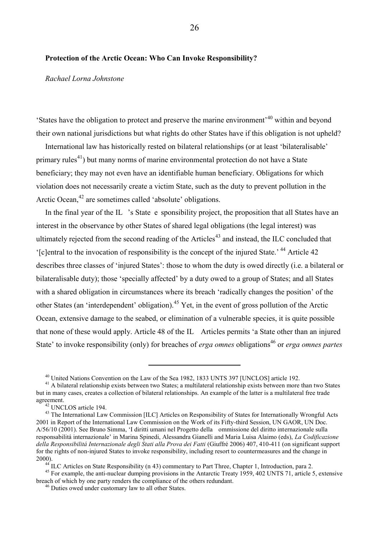#### <span id="page-30-0"></span>**Protection of the Arctic Ocean: Who Can Invoke Responsibility?**

#### <span id="page-30-1"></span>*Rachael Lorna Johnstone*

'States have the obligation to protect and preserve the marine environment'<sup>40</sup> within and beyond their own national jurisdictions but what rights do other States have if this obligation is not upheld?

International law has historically rested on bilateral relationships (or at least 'bilateralisable' primary rules<sup>41</sup>) but many norms of marine environmental protection do not have a State beneficiary; they may not even have an identifiable human beneficiary. Obligations for which violation does not necessarily create a victim State, such as the duty to prevent pollution in the Arctic Ocean,<sup>42</sup> are sometimes called 'absolute' obligations.

<span id="page-30-2"></span>In the final year of the IL 's State e sponsibility project, the proposition that all States have an interest in the observance by other States of shared legal obligations (the legal interest) was ultimately rejected from the second reading of the Articles<sup>43</sup> and instead, the ILC concluded that '[c]entral to the invocation of responsibility is the concept of the injured State.' <sup>44</sup> Article 42 describes three classes of 'injured States': those to whom the duty is owed directly (i.e. a bilateral or bilateralisable duty); those 'specially affected' by a duty owed to a group of States; and all States with a shared obligation in circumstances where its breach 'radically changes the position' of the other States (an 'interdependent' obligation).<sup>45</sup> Yet, in the event of gross pollution of the Arctic Ocean, extensive damage to the seabed, or elimination of a vulnerable species, it is quite possible that none of these would apply. Article 48 of the IL Articles permits 'a State other than an injured State' to invoke responsibility (only) for breaches of *erga omnes* obligations<sup>46</sup> or *erga omnes partes* 

<sup>40</sup> United Nations Convention on the Law of the Sea 1982, 1833 UNTS 397 [UNCLOS] article 192.

<sup>&</sup>lt;sup>41</sup> A bilateral relationship exists between two States; a multilateral relationship exists between more than two States but in many cases, creates a collection of bilateral relationships. An example of the latter is a multilateral free trade agreement.

<sup>42</sup> UNCLOS article 194.

<sup>&</sup>lt;sup>43</sup> The International Law Commission [ILC] Articles on Responsibility of States for Internationally Wrongful Acts 2001 in Report of the International Law Commission on the Work of its Fifty-third Session, UN GAOR, UN Doc. A/56/10 (2001). See Bruno Simma, 'I diritti umani nel Progetto della ommissione del diritto internazionale sulla responsabilitá internazionale' in Marina Spinedi, Alessandra Gianelli and Maria Luisa Alaimo (eds), *La Codificazione della Responsibilitá Internazionale degli Stati alla Prova dei Fatti* (Giuffré 2006) 407, 410-411 (on significant support for the rights of non-injured States to invoke responsibility, including resort to countermeasures and the change in 2000).

<sup>&</sup>lt;sup>44</sup> ILC Articles on State Responsibility (n [43\)](#page-30-2) commentary to Part Three, Chapter 1, Introduction, para 2.

<sup>&</sup>lt;sup>45</sup> For example, the anti-nuclear dumping provisions in the Antarctic Treaty 1959, 402 UNTS 71, article 5, extensive breach of which by one party renders the compliance of the others redundant.

<sup>46</sup> Duties owed under customary law to all other States.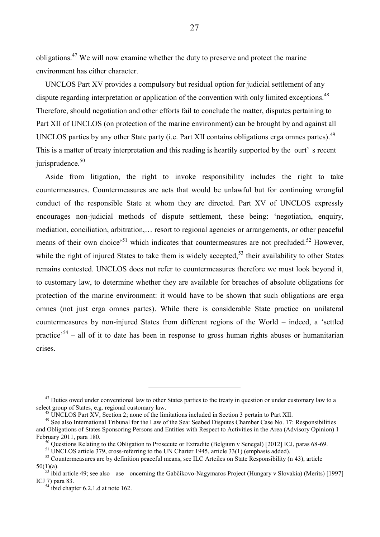obligations.<sup>47</sup> We will now examine whether the duty to preserve and protect the marine environment has either character.

UNCLOS Part XV provides a compulsory but residual option for judicial settlement of any dispute regarding interpretation or application of the convention with only limited exceptions.<sup>48</sup> Therefore, should negotiation and other efforts fail to conclude the matter, disputes pertaining to Part XII of UNCLOS (on protection of the marine environment) can be brought by and against all UNCLOS parties by any other State party (i.e. Part XII contains obligations erga omnes partes).<sup>49</sup> This is a matter of treaty interpretation and this reading is heartily supported by the ourt' s recent jurisprudence. $50$ 

Aside from litigation, the right to invoke responsibility includes the right to take countermeasures. Countermeasures are acts that would be unlawful but for continuing wrongful conduct of the responsible State at whom they are directed. Part XV of UNCLOS expressly encourages non-judicial methods of dispute settlement, these being: 'negotiation, enquiry, mediation, conciliation, arbitration,… resort to regional agencies or arrangements, or other peaceful means of their own choice<sup>51</sup> which indicates that countermeasures are not precluded.<sup>52</sup> However, while the right of injured States to take them is widely accepted.<sup>53</sup> their availability to other States remains contested. UNCLOS does not refer to countermeasures therefore we must look beyond it, to customary law, to determine whether they are available for breaches of absolute obligations for protection of the marine environment: it would have to be shown that such obligations are erga omnes (not just erga omnes partes). While there is considerable State practice on unilateral countermeasures by non-injured States from different regions of the World – indeed, a 'settled practice<sup>34</sup> – all of it to date has been in response to gross human rights abuses or humanitarian crises.

 $47$  Duties owed under conventional law to other States parties to the treaty in question or under customary law to a select group of States, e.g. regional customary law.

<sup>48</sup> UNCLOS Part XV, Section 2; none of the limitations included in Section 3 pertain to Part XII.

<sup>&</sup>lt;sup>49</sup> See also International Tribunal for the Law of the Sea: Seabed Disputes Chamber Case No. 17: Responsibilities and Obligations of States Sponsoring Persons and Entities with Respect to Activities in the Area (Advisory Opinion) 1 February 2011, para 180.

<sup>&</sup>lt;sup>50</sup> Questions Relating to the Obligation to Prosecute or Extradite (Belgium v Senegal) [2012] ICJ, paras 68-69.

<sup>51</sup> UNCLOS article 379, cross-referring to the UN Charter 1945, article 33(1) (emphasis added).

<sup>&</sup>lt;sup>52</sup> Countermeasures are by definition peaceful means, see ILC Artciles on State Responsibility (n [43\)](#page-30-2), article  $50(1)(a)$ .

<sup>&</sup>lt;sup>53</sup> ibid article 49; see also ase oncerning the Gabčíkovo-Nagymaros Project (Hungary v Slovakia) (Merits) [1997] ICJ 7) para 83.

 $54$  ibid chapter 6.2.1.d at note 162.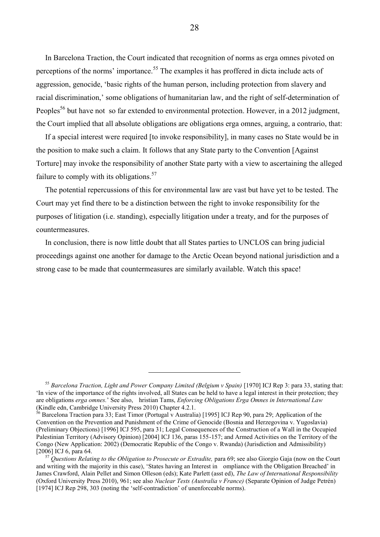In Barcelona Traction, the Court indicated that recognition of norms as erga omnes pivoted on perceptions of the norms' importance.<sup>55</sup> The examples it has proffered in dicta include acts of aggression, genocide, 'basic rights of the human person, including protection from slavery and racial discrimination,' some obligations of humanitarian law, and the right of self-determination of Peoples<sup>56</sup> but have not so far extended to environmental protection. However, in a 2012 judgment, the Court implied that all absolute obligations are obligations erga omnes, arguing, a contrario, that:

If a special interest were required [to invoke responsibility], in many cases no State would be in the position to make such a claim. It follows that any State party to the Convention [Against Torture] may invoke the responsibility of another State party with a view to ascertaining the alleged failure to comply with its obligations. $57$ 

The potential repercussions of this for environmental law are vast but have yet to be tested. The Court may yet find there to be a distinction between the right to invoke responsibility for the purposes of litigation (i.e. standing), especially litigation under a treaty, and for the purposes of countermeasures.

In conclusion, there is now little doubt that all States parties to UNCLOS can bring judicial proceedings against one another for damage to the Arctic Ocean beyond national jurisdiction and a strong case to be made that countermeasures are similarly available. Watch this space!

<sup>&</sup>lt;sup>55</sup> Barcelona Traction, Light and Power Company Limited (Belgium v Spain) [1970] ICJ Rep 3: para 33, stating that: 'In view of the importance of the rights involved, all States can be held to have a legal interest in their protection; they are obligations *erga omnes.*' See also, hristian Tams, *Enforcing Obligations Erga Omnes in International Law*  (Kindle edn, Cambridge University Press 2010) Chapter 4.2.1.

<sup>&</sup>lt;sup>56</sup> Barcelona Traction para 33; East Timor (Portugal v Australia) [1995] ICJ Rep 90, para 29; Application of the Convention on the Prevention and Punishment of the Crime of Genocide (Bosnia and Herzegovina v. Yugoslavia) (Preliminary Objections) [1996] ICJ 595, para 31; Legal Consequences of the Construction of a Wall in the Occupied Palestinian Territory (Advisory Opinion) [2004] ICJ 136, paras 155-157; and Armed Activities on the Territory of the Congo (New Application: 2002) (Democratic Republic of the Congo v. Rwanda) (Jurisdiction and Admissibility) [2006] ICJ 6, para 64.

<sup>&</sup>lt;sup>7</sup> Questions Relating to the Obligation to Prosecute or Extradite, para 69; see also Giorgio Gaja (now on the Court and writing with the majority in this case), 'States having an Interest in ompliance with the Obligation Breached' in James Crawford, Alain Pellet and Simon Olleson (eds); Kate Parlett (asst ed), *The Law of International Responsibility*  (Oxford University Press 2010), 961; see also *Nuclear Tests (Australia v France)* (Separate Opinion of Judge Petrén) [1974] ICJ Rep 298, 303 (noting the 'self-contradiction' of unenforceable norms).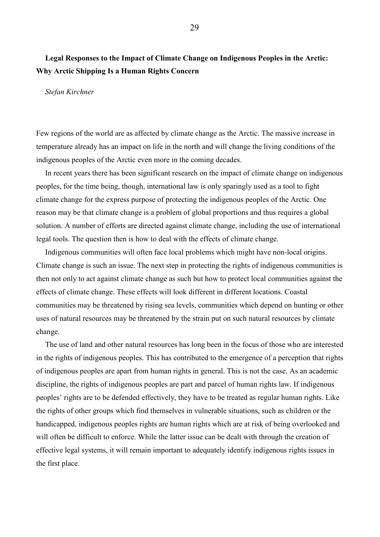## <span id="page-33-0"></span>**Legal Responses to the Impact of Climate Change on Indigenous Peoples in the Arctic: Why Arctic Shipping Is a Human Rights Concern**

#### <span id="page-33-1"></span>*Stefan Kirchner*

Few regions of the world are as affected by climate change as the Arctic. The massive increase in temperature already has an impact on life in the north and will change the living conditions of the indigenous peoples of the Arctic even more in the coming decades.

In recent years there has been significant research on the impact of climate change on indigenous peoples, for the time being, though, international law is only sparingly used as a tool to fight climate change for the express purpose of protecting the indigenous peoples of the Arctic. One reason may be that climate change is a problem of global proportions and thus requires a global solution. A number of efforts are directed against climate change, including the use of international legal tools. The question then is how to deal with the effects of climate change.

Indigenous communities will often face local problems which might have non-local origins. Climate change is such an issue. The next step in protecting the rights of indigenous communities is then not only to act against climate change as such but how to protect local communities against the effects of climate change. These effects will look different in different locations. Coastal communities may be threatened by rising sea levels, communities which depend on hunting or other uses of natural resources may be threatened by the strain put on such natural resources by climate change.

The use of land and other natural resources has long been in the focus of those who are interested in the rights of indigenous peoples. This has contributed to the emergence of a perception that rights of indigenous peoples are apart from human rights in general. This is not the case. As an academic discipline, the rights of indigenous peoples are part and parcel of human rights law. If indigenous peoples' rights are to be defended effectively, they have to be treated as regular human rights. Like the rights of other groups which find themselves in vulnerable situations, such as children or the handicapped, indigenous peoples rights are human rights which are at risk of being overlooked and will often be difficult to enforce. While the latter issue can be dealt with through the creation of effective legal systems, it will remain important to adequately identify indigenous rights issues in the first place.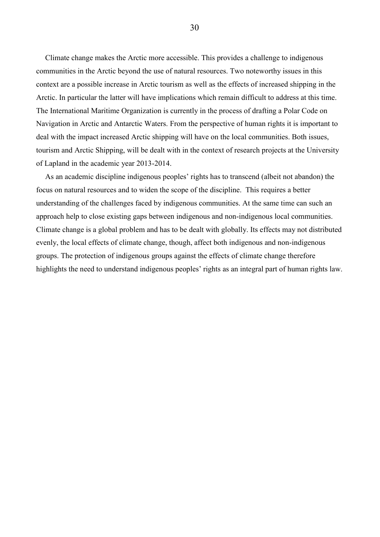Climate change makes the Arctic more accessible. This provides a challenge to indigenous communities in the Arctic beyond the use of natural resources. Two noteworthy issues in this context are a possible increase in Arctic tourism as well as the effects of increased shipping in the Arctic. In particular the latter will have implications which remain difficult to address at this time. The International Maritime Organization is currently in the process of drafting a Polar Code on Navigation in Arctic and Antarctic Waters. From the perspective of human rights it is important to deal with the impact increased Arctic shipping will have on the local communities. Both issues, tourism and Arctic Shipping, will be dealt with in the context of research projects at the University of Lapland in the academic year 2013-2014.

As an academic discipline indigenous peoples' rights has to transcend (albeit not abandon) the focus on natural resources and to widen the scope of the discipline. This requires a better understanding of the challenges faced by indigenous communities. At the same time can such an approach help to close existing gaps between indigenous and non-indigenous local communities. Climate change is a global problem and has to be dealt with globally. Its effects may not distributed evenly, the local effects of climate change, though, affect both indigenous and non-indigenous groups. The protection of indigenous groups against the effects of climate change therefore highlights the need to understand indigenous peoples' rights as an integral part of human rights law.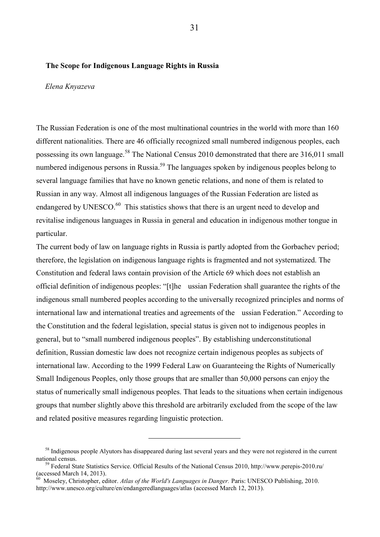#### <span id="page-35-0"></span>**The Scope for Indigenous Language Rights in Russia**

#### <span id="page-35-1"></span>*Elena Knyazeva*

The Russian Federation is one of the most multinational countries in the world with more than 160 different nationalities. There are 46 officially recognized small numbered indigenous peoples, each possessing its own language.<sup>58</sup> The National Census 2010 demonstrated that there are 316,011 small numbered indigenous persons in Russia.<sup>59</sup> The languages spoken by indigenous peoples belong to several language families that have no known genetic relations, and none of them is related to Russian in any way. Almost all indigenous languages of the Russian Federation are listed as endangered by UNESCO.<sup>60</sup> This statistics shows that there is an urgent need to develop and revitalise indigenous languages in Russia in general and education in indigenous mother tongue in particular.

The current body of law on language rights in Russia is partly adopted from the Gorbachev period; therefore, the legislation on indigenous language rights is fragmented and not systematized. The Constitution and federal laws contain provision of the Article 69 which does not establish an official definition of indigenous peoples: "[t]he ussian Federation shall guarantee the rights of the indigenous small numbered peoples according to the universally recognized principles and norms of international law and international treaties and agreements of the ussian Federation." According to the Constitution and the federal legislation, special status is given not to indigenous peoples in general, but to "small numbered indigenous peoples". By establishing underconstitutional definition, Russian domestic law does not recognize certain indigenous peoples as subjects of international law. According to the 1999 Federal Law on Guaranteeing the Rights of Numerically Small Indigenous Peoples, only those groups that are smaller than 50,000 persons can enjoy the status of numerically small indigenous peoples. That leads to the situations when certain indigenous groups that number slightly above this threshold are arbitrarily excluded from the scope of the law and related positive measures regarding linguistic protection.

<sup>&</sup>lt;sup>58</sup> Indigenous people Alyutors has disappeared during last several years and they were not registered in the current national census.

<sup>&</sup>lt;sup>9</sup> Federal State Statistics Service. Official Results of the National Census 2010, http://www.perepis-2010.ru/ (accessed March 14, 2013).

<sup>60</sup> Moseley, Christopher, editor. *Atlas of the World's Languages in Danger.* Paris: UNESCO Publishing, 2010. http://www.unesco.org/culture/en/endangeredlanguages/atlas (accessed March 12, 2013).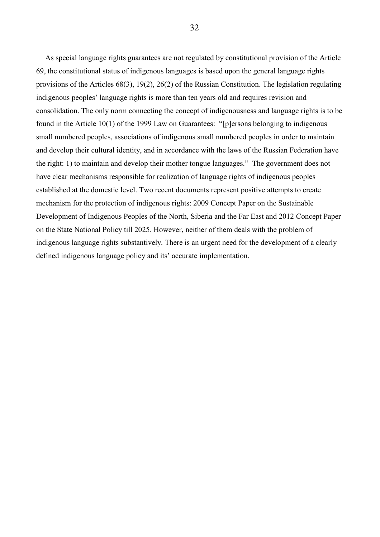As special language rights guarantees are not regulated by constitutional provision of the Article 69, the constitutional status of indigenous languages is based upon the general language rights provisions of the Articles 68(3), 19(2), 26(2) of the Russian Constitution. The legislation regulating indigenous peoples' language rights is more than ten years old and requires revision and consolidation. The only norm connecting the concept of indigenousness and language rights is to be found in the Article 10(1) of the 1999 Law on Guarantees: "[p]ersons belonging to indigenous small numbered peoples, associations of indigenous small numbered peoples in order to maintain and develop their cultural identity, and in accordance with the laws of the Russian Federation have the right: 1) to maintain and develop their mother tongue languages." The government does not have clear mechanisms responsible for realization of language rights of indigenous peoples established at the domestic level. Two recent documents represent positive attempts to create mechanism for the protection of indigenous rights: 2009 Concept Paper on the Sustainable Development of Indigenous Peoples of the North, Siberia and the Far East and 2012 Сoncept Paper on the State National Policy till 2025. However, neither of them deals with the problem of indigenous language rights substantively. There is an urgent need for the development of a clearly defined indigenous language policy and its' accurate implementation.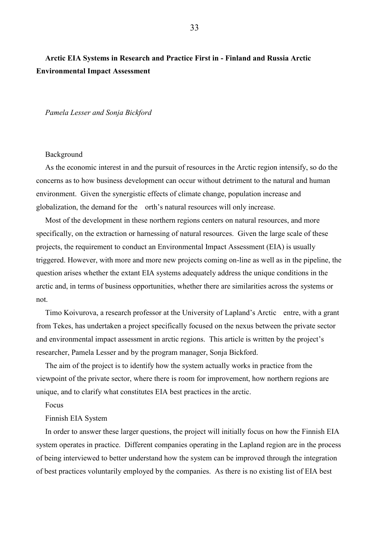## <span id="page-37-0"></span>**Arctic EIA Systems in Research and Practice First in - Finland and Russia Arctic Environmental Impact Assessment**

<span id="page-37-1"></span>*Pamela Lesser and Sonja Bickford* 

#### Background

As the economic interest in and the pursuit of resources in the Arctic region intensify, so do the concerns as to how business development can occur without detriment to the natural and human environment. Given the synergistic effects of climate change, population increase and globalization, the demand for the orth's natural resources will only increase.

Most of the development in these northern regions centers on natural resources, and more specifically, on the extraction or harnessing of natural resources. Given the large scale of these projects, the requirement to conduct an Environmental Impact Assessment (EIA) is usually triggered. However, with more and more new projects coming on-line as well as in the pipeline, the question arises whether the extant EIA systems adequately address the unique conditions in the arctic and, in terms of business opportunities, whether there are similarities across the systems or not.

Timo Koivurova, a research professor at the University of Lapland's Arctic entre, with a grant from Tekes, has undertaken a project specifically focused on the nexus between the private sector and environmental impact assessment in arctic regions. This article is written by the project's researcher, Pamela Lesser and by the program manager, Sonja Bickford.

The aim of the project is to identify how the system actually works in practice from the viewpoint of the private sector, where there is room for improvement, how northern regions are unique, and to clarify what constitutes EIA best practices in the arctic.

#### Focus

#### Finnish EIA System

In order to answer these larger questions, the project will initially focus on how the Finnish EIA system operates in practice. Different companies operating in the Lapland region are in the process of being interviewed to better understand how the system can be improved through the integration of best practices voluntarily employed by the companies. As there is no existing list of EIA best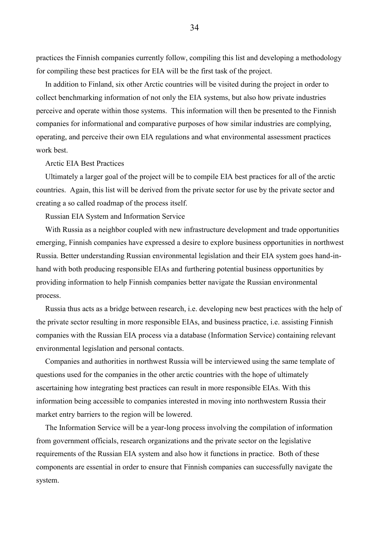practices the Finnish companies currently follow, compiling this list and developing a methodology for compiling these best practices for EIA will be the first task of the project.

In addition to Finland, six other Arctic countries will be visited during the project in order to collect benchmarking information of not only the EIA systems, but also how private industries perceive and operate within those systems. This information will then be presented to the Finnish companies for informational and comparative purposes of how similar industries are complying, operating, and perceive their own EIA regulations and what environmental assessment practices work best.

Arctic EIA Best Practices

Ultimately a larger goal of the project will be to compile EIA best practices for all of the arctic countries. Again, this list will be derived from the private sector for use by the private sector and creating a so called roadmap of the process itself.

Russian EIA System and Information Service

With Russia as a neighbor coupled with new infrastructure development and trade opportunities emerging, Finnish companies have expressed a desire to explore business opportunities in northwest Russia. Better understanding Russian environmental legislation and their EIA system goes hand-inhand with both producing responsible EIAs and furthering potential business opportunities by providing information to help Finnish companies better navigate the Russian environmental process.

Russia thus acts as a bridge between research, i.e. developing new best practices with the help of the private sector resulting in more responsible EIAs, and business practice, i.e. assisting Finnish companies with the Russian EIA process via a database (Information Service) containing relevant environmental legislation and personal contacts.

Companies and authorities in northwest Russia will be interviewed using the same template of questions used for the companies in the other arctic countries with the hope of ultimately ascertaining how integrating best practices can result in more responsible EIAs. With this information being accessible to companies interested in moving into northwestern Russia their market entry barriers to the region will be lowered.

The Information Service will be a year-long process involving the compilation of information from government officials, research organizations and the private sector on the legislative requirements of the Russian EIA system and also how it functions in practice. Both of these components are essential in order to ensure that Finnish companies can successfully navigate the system.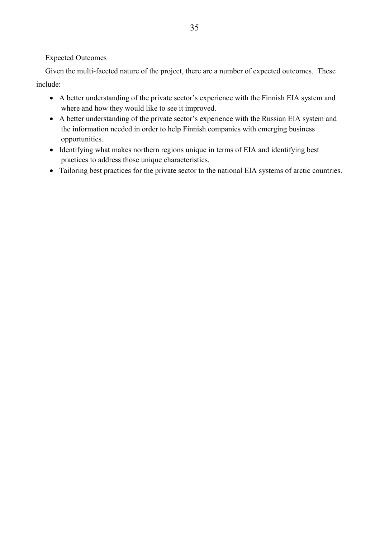#### Expected Outcomes

Given the multi-faceted nature of the project, there are a number of expected outcomes. These include:

- A better understanding of the private sector's experience with the Finnish EIA system and where and how they would like to see it improved.
- A better understanding of the private sector's experience with the Russian EIA system and the information needed in order to help Finnish companies with emerging business opportunities.
- Identifying what makes northern regions unique in terms of EIA and identifying best practices to address those unique characteristics.
- Tailoring best practices for the private sector to the national EIA systems of arctic countries.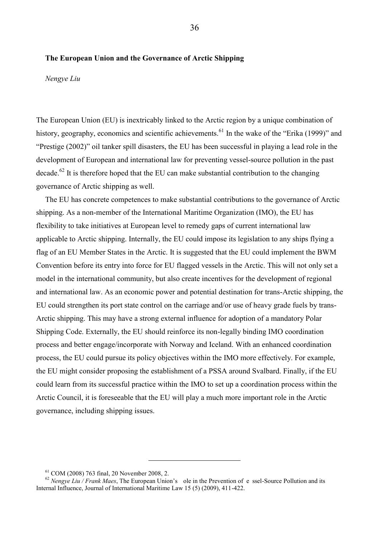#### <span id="page-40-0"></span>**The European Union and the Governance of Arctic Shipping**

<span id="page-40-1"></span>*Nengye Liu* 

The European Union (EU) is inextricably linked to the Arctic region by a unique combination of history, geography, economics and scientific achievements.<sup>61</sup> In the wake of the "Erika (1999)" and "Prestige (2002)" oil tanker spill disasters, the EU has been successful in playing a lead role in the development of European and international law for preventing vessel-source pollution in the past decade.<sup>62</sup> It is therefore hoped that the EU can make substantial contribution to the changing governance of Arctic shipping as well.

The EU has concrete competences to make substantial contributions to the governance of Arctic shipping. As a non-member of the International Maritime Organization (IMO), the EU has flexibility to take initiatives at European level to remedy gaps of current international law applicable to Arctic shipping. Internally, the EU could impose its legislation to any ships flying a flag of an EU Member States in the Arctic. It is suggested that the EU could implement the BWM Convention before its entry into force for EU flagged vessels in the Arctic. This will not only set a model in the international community, but also create incentives for the development of regional and international law. As an economic power and potential destination for trans-Arctic shipping, the EU could strengthen its port state control on the carriage and/or use of heavy grade fuels by trans-Arctic shipping. This may have a strong external influence for adoption of a mandatory Polar Shipping Code. Externally, the EU should reinforce its non-legally binding IMO coordination process and better engage/incorporate with Norway and Iceland. With an enhanced coordination process, the EU could pursue its policy objectives within the IMO more effectively. For example, the EU might consider proposing the establishment of a PSSA around Svalbard. Finally, if the EU could learn from its successful practice within the IMO to set up a coordination process within the Arctic Council, it is foreseeable that the EU will play a much more important role in the Arctic governance, including shipping issues.

<sup>61</sup> COM (2008) 763 final, 20 November 2008, 2.

<sup>62</sup> *Nengye Liu / Frank Maes*, The European Union's ole in the Prevention of e ssel-Source Pollution and its Internal Influence, Journal of International Maritime Law 15 (5) (2009), 411-422.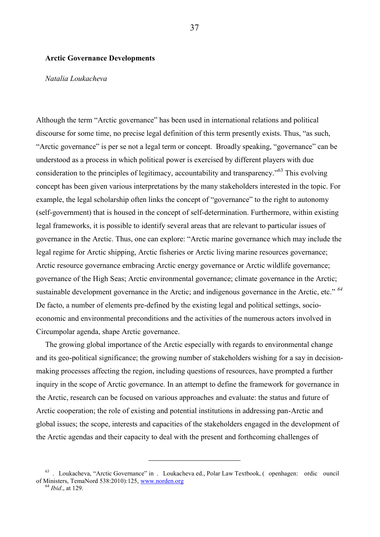#### <span id="page-41-0"></span>**Arctic Governance Developments**

#### <span id="page-41-1"></span>*Natalia Loukacheva*

Although the term "Arctic governance" has been used in international relations and political discourse for some time, no precise legal definition of this term presently exists. Thus, "as such, "Arctic governance" is per se not a legal term or concept. Broadly speaking, "governance" can be understood as a process in which political power is exercised by different players with due consideration to the principles of legitimacy, accountability and transparency."<sup>63</sup> This evolving concept has been given various interpretations by the many stakeholders interested in the topic. For example, the legal scholarship often links the concept of "governance" to the right to autonomy (self-government) that is housed in the concept of self-determination. Furthermore, within existing legal frameworks, it is possible to identify several areas that are relevant to particular issues of governance in the Arctic. Thus, one can explore: "Arctic marine governance which may include the legal regime for Arctic shipping, Arctic fisheries or Arctic living marine resources governance; Arctic resource governance embracing Arctic energy governance or Arctic wildlife governance; governance of the High Seas; Arctic environmental governance; climate governance in the Arctic; sustainable development governance in the Arctic; and indigenous governance in the Arctic, etc." *<sup>64</sup>* De facto, a number of elements pre-defined by the existing legal and political settings, socioeconomic and environmental preconditions and the activities of the numerous actors involved in Circumpolar agenda, shape Arctic governance.

The growing global importance of the Arctic especially with regards to environmental change and its geo-political significance; the growing number of stakeholders wishing for a say in decisionmaking processes affecting the region, including questions of resources, have prompted a further inquiry in the scope of Arctic governance. In an attempt to define the framework for governance in the Arctic, research can be focused on various approaches and evaluate: the status and future of Arctic cooperation; the role of existing and potential institutions in addressing pan-Arctic and global issues; the scope, interests and capacities of the stakeholders engaged in the development of the Arctic agendas and their capacity to deal with the present and forthcoming challenges of

<sup>63</sup> . Loukacheva, "Arctic Governance" in . Loukacheva ed., Polar Law Textbook, ( openhagen: ordic ouncil of Ministers, TemaNord 538:2010):125, [www.norden.org](http://www.norden.org/)  <sup>64</sup> *Ibid*., at 129.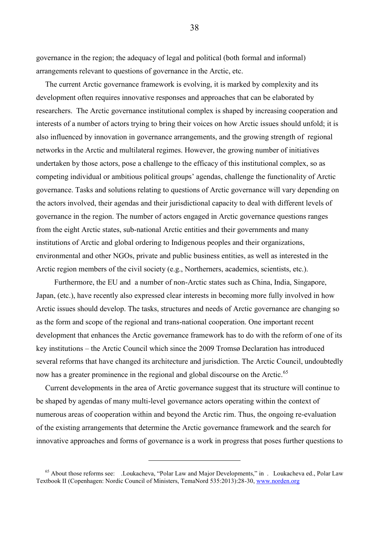governance in the region; the adequacy of legal and political (both formal and informal) arrangements relevant to questions of governance in the Arctic, etc.

The current Arctic governance framework is evolving, it is marked by complexity and its development often requires innovative responses and approaches that can be elaborated by researchers. The Arctic governance institutional complex is shaped by increasing cooperation and interests of a number of actors trying to bring their voices on how Arctic issues should unfold; it is also influenced by innovation in governance arrangements, and the growing strength of regional networks in the Arctic and multilateral regimes. However, the growing number of initiatives undertaken by those actors, pose a challenge to the efficacy of this institutional complex, so as competing individual or ambitious political groups' agendas, challenge the functionality of Arctic governance. Tasks and solutions relating to questions of Arctic governance will vary depending on the actors involved, their agendas and their jurisdictional capacity to deal with different levels of governance in the region. The number of actors engaged in Arctic governance questions ranges from the eight Arctic states, sub-national Arctic entities and their governments and many institutions of Arctic and global ordering to Indigenous peoples and their organizations, environmental and other NGOs, private and public business entities, as well as interested in the Arctic region members of the civil society (e.g., Northerners, academics, scientists, etc.).

 Furthermore, the EU and a number of non-Arctic states such as China, India, Singapore, Japan, (etc.), have recently also expressed clear interests in becoming more fully involved in how Arctic issues should develop. The tasks, structures and needs of Arctic governance are changing so as the form and scope of the regional and trans-national cooperation. One important recent development that enhances the Arctic governance framework has to do with the reform of one of its key institutions – the Arctic Council which since the 2009 Tromsø Declaration has introduced several reforms that have changed its architecture and jurisdiction. The Arctic Council, undoubtedly now has a greater prominence in the regional and global discourse on the Arctic.<sup>65</sup>

Current developments in the area of Arctic governance suggest that its structure will continue to be shaped by agendas of many multi-level governance actors operating within the context of numerous areas of cooperation within and beyond the Arctic rim. Thus, the ongoing re-evaluation of the existing arrangements that determine the Arctic governance framework and the search for innovative approaches and forms of governance is a work in progress that poses further questions to

 $\overline{a}$ 

38

<sup>65</sup> About those reforms see: .Loukacheva, "Polar Law and Major Developments," in . Loukacheva ed., Polar Law Textbook II (Copenhagen: Nordic Council of Ministers, TemaNord 535:2013):28-30[, www.norden.org](http://www.norden.org/)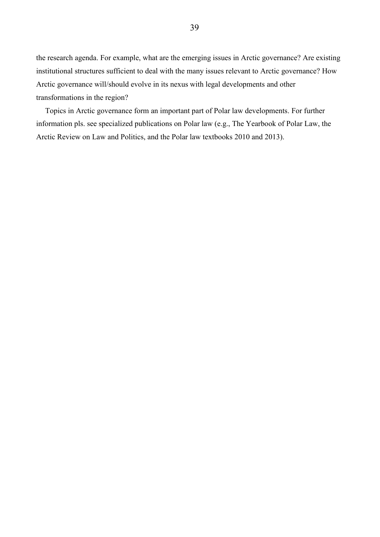the research agenda. For example, what are the emerging issues in Arctic governance? Are existing institutional structures sufficient to deal with the many issues relevant to Arctic governance? How Arctic governance will/should evolve in its nexus with legal developments and other transformations in the region?

Topics in Arctic governance form an important part of Polar law developments. For further information pls. see specialized publications on Polar law (e.g., The Yearbook of Polar Law, the Arctic Review on Law and Politics, and the Polar law textbooks 2010 and 2013).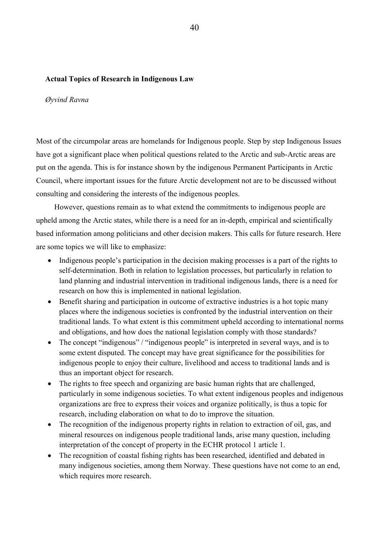#### <span id="page-44-0"></span>**Actual Topics of Research in Indigenous Law**

#### <span id="page-44-1"></span>*Øyvind Ravna*

Most of the circumpolar areas are homelands for Indigenous people. Step by step Indigenous Issues have got a significant place when political questions related to the Arctic and sub-Arctic areas are put on the agenda. This is for instance shown by the indigenous Permanent Participants in Arctic Council, where important issues for the future Arctic development not are to be discussed without consulting and considering the interests of the indigenous peoples.

 However, questions remain as to what extend the commitments to indigenous people are upheld among the Arctic states, while there is a need for an in-depth, empirical and scientifically based information among politicians and other decision makers. This calls for future research. Here are some topics we will like to emphasize:

- Indigenous people's participation in the decision making processes is a part of the rights to self-determination. Both in relation to legislation processes, but particularly in relation to land planning and industrial intervention in traditional indigenous lands, there is a need for research on how this is implemented in national legislation.
- Benefit sharing and participation in outcome of extractive industries is a hot topic many places where the indigenous societies is confronted by the industrial intervention on their traditional lands. To what extent is this commitment upheld according to international norms and obligations, and how does the national legislation comply with those standards?
- The concept "indigenous" / "indigenous people" is interpreted in several ways, and is to some extent disputed. The concept may have great significance for the possibilities for indigenous people to enjoy their culture, livelihood and access to traditional lands and is thus an important object for research.
- The rights to free speech and organizing are basic human rights that are challenged, particularly in some indigenous societies. To what extent indigenous peoples and indigenous organizations are free to express their voices and organize politically, is thus a topic for research, including elaboration on what to do to improve the situation.
- The recognition of the indigenous property rights in relation to extraction of oil, gas, and mineral resources on indigenous people traditional lands, arise many question, including interpretation of the concept of property in the ECHR protocol 1 article 1.
- The recognition of coastal fishing rights has been researched, identified and debated in many indigenous societies, among them Norway. These questions have not come to an end, which requires more research.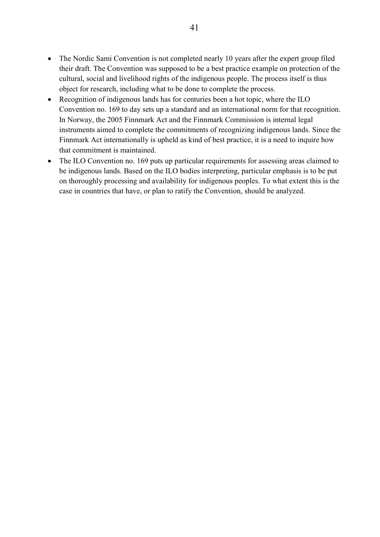- The Nordic Sami Convention is not completed nearly 10 years after the expert group filed their draft. The Convention was supposed to be a best practice example on protection of the cultural, social and livelihood rights of the indigenous people. The process itself is thus object for research, including what to be done to complete the process.
- Recognition of indigenous lands has for centuries been a hot topic, where the ILO Convention no. 169 to day sets up a standard and an international norm for that recognition. In Norway, the 2005 Finnmark Act and the Finnmark Commission is internal legal instruments aimed to complete the commitments of recognizing indigenous lands. Since the Finnmark Act internationally is upheld as kind of best practice, it is a need to inquire how that commitment is maintained.
- The ILO Convention no. 169 puts up particular requirements for assessing areas claimed to be indigenous lands. Based on the ILO bodies interpreting, particular emphasis is to be put on thoroughly processing and availability for indigenous peoples. To what extent this is the case in countries that have, or plan to ratify the Convention, should be analyzed.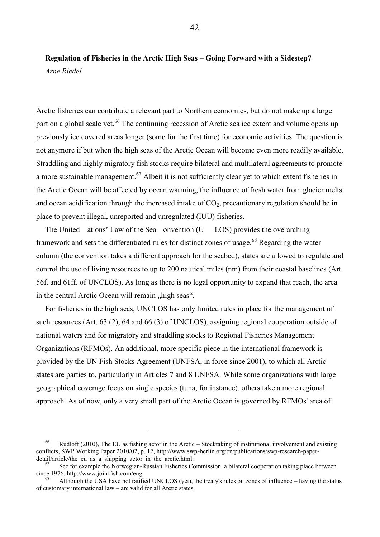## <span id="page-46-1"></span><span id="page-46-0"></span>**Regulation of Fisheries in the Arctic High Seas – Going Forward with a Sidestep?**  *Arne Riedel*

Arctic fisheries can contribute a relevant part to Northern economies, but do not make up a large part on a global scale yet.<sup>66</sup> The continuing recession of Arctic sea ice extent and volume opens up previously ice covered areas longer (some for the first time) for economic activities. The question is not anymore if but when the high seas of the Arctic Ocean will become even more readily available. Straddling and highly migratory fish stocks require bilateral and multilateral agreements to promote a more sustainable management.<sup>67</sup> Albeit it is not sufficiently clear yet to which extent fisheries in the Arctic Ocean will be affected by ocean warming, the influence of fresh water from glacier melts and ocean acidification through the increased intake of  $CO<sub>2</sub>$ , precautionary regulation should be in place to prevent illegal, unreported and unregulated (IUU) fisheries.

The United ations' Law of the Sea onvention (U LOS) provides the overarching framework and sets the differentiated rules for distinct zones of usage.<sup>68</sup> Regarding the water column (the convention takes a different approach for the seabed), states are allowed to regulate and control the use of living resources to up to 200 nautical miles (nm) from their coastal baselines (Art. 56f. and 61ff. of UNCLOS). As long as there is no legal opportunity to expand that reach, the area in the central Arctic Ocean will remain "high seas".

For fisheries in the high seas, UNCLOS has only limited rules in place for the management of such resources (Art. 63 (2), 64 and 66 (3) of UNCLOS), assigning regional cooperation outside of national waters and for migratory and straddling stocks to Regional Fisheries Management Organizations (RFMOs). An additional, more specific piece in the international framework is provided by the UN Fish Stocks Agreement (UNFSA, in force since 2001), to which all Arctic states are parties to, particularly in Articles 7 and 8 UNFSA. While some organizations with large geographical coverage focus on single species (tuna, for instance), others take a more regional approach. As of now, only a very small part of the Arctic Ocean is governed by RFMOs' area of

<sup>66</sup> Rudloff (2010), The EU as fishing actor in the Arctic – Stocktaking of institutional involvement and existing conflicts, SWP Working Paper 2010/02, p. 12, http://www.swp-berlin.org/en/publications/swp-research-paperdetail/article/the\_eu\_as\_a\_shipping\_actor\_in\_the\_arctic.html.

See for example the Norwegian-Russian Fisheries Commission, a bilateral cooperation taking place between since 1976, http://www.jointfish.com/eng.

Although the USA have not ratified UNCLOS (yet), the treaty's rules on zones of influence – having the status of customary international law – are valid for all Arctic states.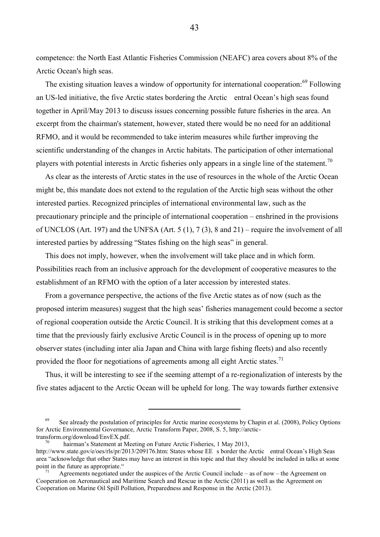competence: the North East Atlantic Fisheries Commission (NEAFC) area covers about 8% of the Arctic Ocean's high seas.

The existing situation leaves a window of opportunity for international cooperation:<sup>69</sup> Following an US-led initiative, the five Arctic states bordering the Arctic entral Ocean's high seas found together in April/May 2013 to discuss issues concerning possible future fisheries in the area. An excerpt from the chairman's statement, however, stated there would be no need for an additional RFMO, and it would be recommended to take interim measures while further improving the scientific understanding of the changes in Arctic habitats. The participation of other international players with potential interests in Arctic fisheries only appears in a single line of the statement.<sup>70</sup>

As clear as the interests of Arctic states in the use of resources in the whole of the Arctic Ocean might be, this mandate does not extend to the regulation of the Arctic high seas without the other interested parties. Recognized principles of international environmental law, such as the precautionary principle and the principle of international cooperation – enshrined in the provisions of UNCLOS (Art. 197) and the UNFSA (Art. 5 (1), 7 (3), 8 and 21) – require the involvement of all interested parties by addressing "States fishing on the high seas" in general.

This does not imply, however, when the involvement will take place and in which form. Possibilities reach from an inclusive approach for the development of cooperative measures to the establishment of an RFMO with the option of a later accession by interested states.

From a governance perspective, the actions of the five Arctic states as of now (such as the proposed interim measures) suggest that the high seas' fisheries management could become a sector of regional cooperation outside the Arctic Council. It is striking that this development comes at a time that the previously fairly exclusive Arctic Council is in the process of opening up to more observer states (including inter alia Japan and China with large fishing fleets) and also recently provided the floor for negotiations of agreements among all eight Arctic states.<sup>71</sup>

Thus, it will be interesting to see if the seeming attempt of a re-regionalization of interests by the five states adjacent to the Arctic Ocean will be upheld for long. The way towards further extensive

 $\overline{a}$ 

43

 $69$  See already the postulation of principles for Arctic marine ecosystems by Chapin et al. (2008), Policy Options for Arctic Environmental Governance, Arctic Transform Paper, 2008, S. 5, http://arctictransform.org/download/EnvEX.pdf.

hairman's Statement at Meeting on Future Arctic Fisheries, 1 May 2013,

http://www.state.gov/e/oes/rls/pr/2013/209176.htm: States whose EE s border the Arctic entral Ocean's High Seas area "acknowledge that other States may have an interest in this topic and that they should be included in talks at some point in the future as appropriate."

Agreements negotiated under the auspices of the Arctic Council include – as of now – the Agreement on Cooperation on Aeronautical and Maritime Search and Rescue in the Arctic (2011) as well as the Agreement on Cooperation on Marine Oil Spill Pollution, Preparedness and Response in the Arctic (2013).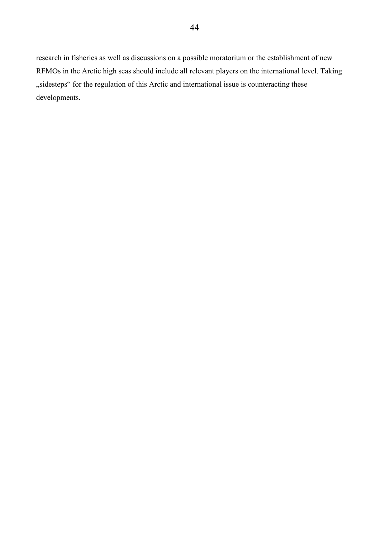research in fisheries as well as discussions on a possible moratorium or the establishment of new RFMOs in the Arctic high seas should include all relevant players on the international level. Taking "sidesteps" for the regulation of this Arctic and international issue is counteracting these developments.